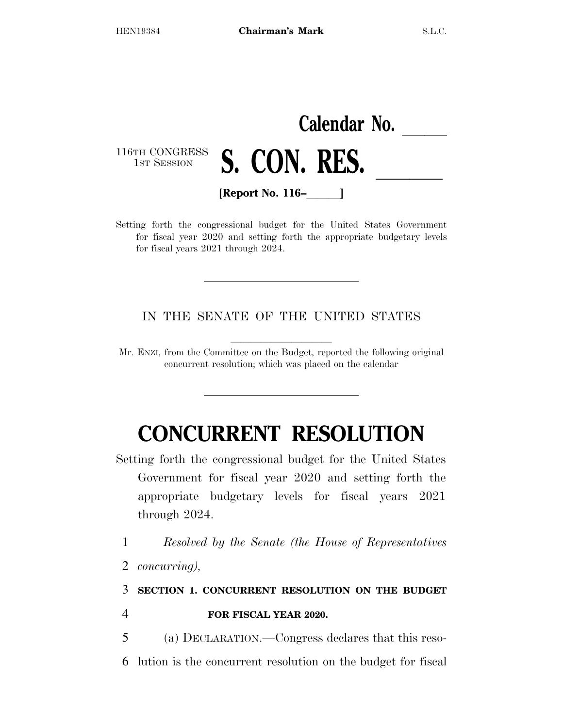|                             | Calendar No. |                    |  |  |  |
|-----------------------------|--------------|--------------------|--|--|--|
| 116TH CONGRESS S. CON. RES. |              |                    |  |  |  |
|                             |              | [Report No. $116-$ |  |  |  |

Setting forth the congressional budget for the United States Government for fiscal year 2020 and setting forth the appropriate budgetary levels for fiscal years 2021 through 2024.

IN THE SENATE OF THE UNITED STATES

Mr. ENZI, from the Committee on the Budget, reported the following original concurrent resolution; which was placed on the calendar

# **CONCURRENT RESOLUTION**

Setting forth the congressional budget for the United States Government for fiscal year 2020 and setting forth the appropriate budgetary levels for fiscal years 2021 through 2024.

1 *Resolved by the Senate (the House of Representatives* 

2 *concurring),* 

### 3 **SECTION 1. CONCURRENT RESOLUTION ON THE BUDGET**  4 **FOR FISCAL YEAR 2020.**

- 5 (a) DECLARATION.—Congress declares that this reso-
- 6 lution is the concurrent resolution on the budget for fiscal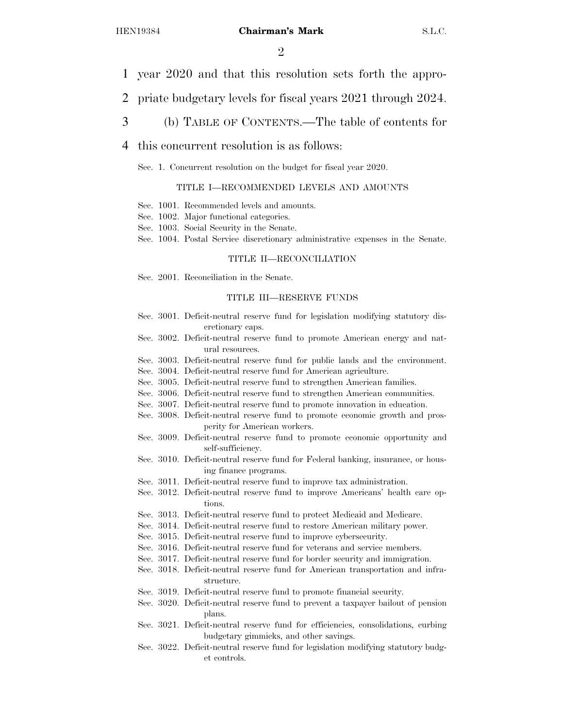$\mathcal{D}_{\mathcal{L}}$ 

- 1 year 2020 and that this resolution sets forth the appro-
- 2 priate budgetary levels for fiscal years 2021 through 2024.
- 3 (b) TABLE OF CONTENTS.—The table of contents for
- 4 this concurrent resolution is as follows:
	- Sec. 1. Concurrent resolution on the budget for fiscal year 2020.

#### TITLE I—RECOMMENDED LEVELS AND AMOUNTS

- Sec. 1001. Recommended levels and amounts.
- Sec. 1002. Major functional categories.
- Sec. 1003. Social Security in the Senate.
- Sec. 1004. Postal Service discretionary administrative expenses in the Senate.

#### TITLE II—RECONCILIATION

Sec. 2001. Reconciliation in the Senate.

#### TITLE III—RESERVE FUNDS

- Sec. 3001. Deficit-neutral reserve fund for legislation modifying statutory discretionary caps.
- Sec. 3002. Deficit-neutral reserve fund to promote American energy and natural resources.
- Sec. 3003. Deficit-neutral reserve fund for public lands and the environment.
- Sec. 3004. Deficit-neutral reserve fund for American agriculture.
- Sec. 3005. Deficit-neutral reserve fund to strengthen American families.
- Sec. 3006. Deficit-neutral reserve fund to strengthen American communities.
- Sec. 3007. Deficit-neutral reserve fund to promote innovation in education.
- Sec. 3008. Deficit-neutral reserve fund to promote economic growth and prosperity for American workers.
- Sec. 3009. Deficit-neutral reserve fund to promote economic opportunity and self-sufficiency.
- Sec. 3010. Deficit-neutral reserve fund for Federal banking, insurance, or housing finance programs.
- Sec. 3011. Deficit-neutral reserve fund to improve tax administration.
- Sec. 3012. Deficit-neutral reserve fund to improve Americans' health care options.
- Sec. 3013. Deficit-neutral reserve fund to protect Medicaid and Medicare.
- Sec. 3014. Deficit-neutral reserve fund to restore American military power.
- Sec. 3015. Deficit-neutral reserve fund to improve cybersecurity.
- Sec. 3016. Deficit-neutral reserve fund for veterans and service members.
- Sec. 3017. Deficit-neutral reserve fund for border security and immigration.
- Sec. 3018. Deficit-neutral reserve fund for American transportation and infrastructure.
- Sec. 3019. Deficit-neutral reserve fund to promote financial security.
- Sec. 3020. Deficit-neutral reserve fund to prevent a taxpayer bailout of pension plans.
- Sec. 3021. Deficit-neutral reserve fund for efficiencies, consolidations, curbing budgetary gimmicks, and other savings.
- Sec. 3022. Deficit-neutral reserve fund for legislation modifying statutory budget controls.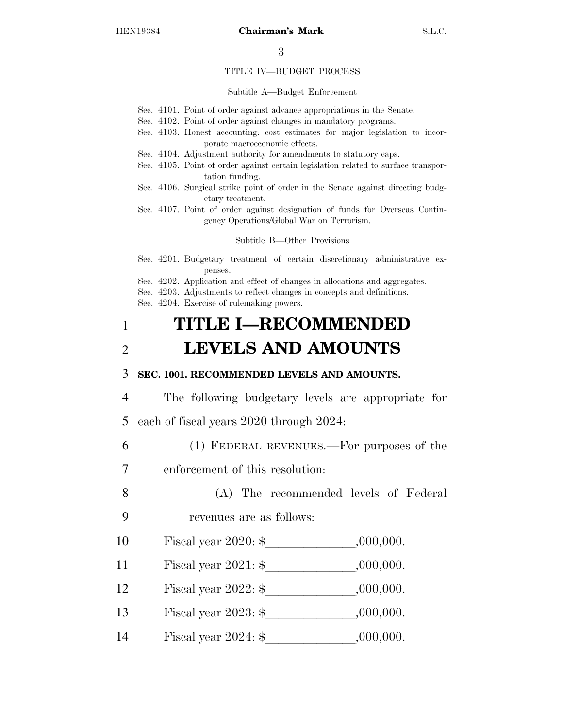#### TITLE IV—BUDGET PROCESS

#### Subtitle A—Budget Enforcement

- Sec. 4101. Point of order against advance appropriations in the Senate.
- Sec. 4102. Point of order against changes in mandatory programs.
- Sec. 4103. Honest accounting: cost estimates for major legislation to incorporate macroeconomic effects.
- Sec. 4104. Adjustment authority for amendments to statutory caps.
- Sec. 4105. Point of order against certain legislation related to surface transportation funding.
- Sec. 4106. Surgical strike point of order in the Senate against directing budgetary treatment.
- Sec. 4107. Point of order against designation of funds for Overseas Contingency Operations/Global War on Terrorism.

Subtitle B—Other Provisions

- Sec. 4201. Budgetary treatment of certain discretionary administrative expenses.
- Sec. 4202. Application and effect of changes in allocations and aggregates.
- Sec. 4203. Adjustments to reflect changes in concepts and definitions.
- Sec. 4204. Exercise of rulemaking powers.

## 1 **TITLE I—RECOMMENDED**  2 **LEVELS AND AMOUNTS**

#### 3 **SEC. 1001. RECOMMENDED LEVELS AND AMOUNTS.**

- 4 The following budgetary levels are appropriate for 5 each of fiscal years 2020 through 2024:
- 6 (1) FEDERAL REVENUES.—For purposes of the
- 7 enforcement of this resolution:
- 8 (A) The recommended levels of Federal 9 revenues are as follows:
- 10 Fiscal year  $2020:$  \$, 000,000.
- 11 Fiscal year  $2021:$  \$  $,000,000$ .
- 12 Fiscal year  $2022:$  \$  $,000,000$ .
- <sup>13</sup> Fiscal year 2023: \$lllllll,000,000.
- 14 Fiscal year  $2024:$  \$  $,000,000$ .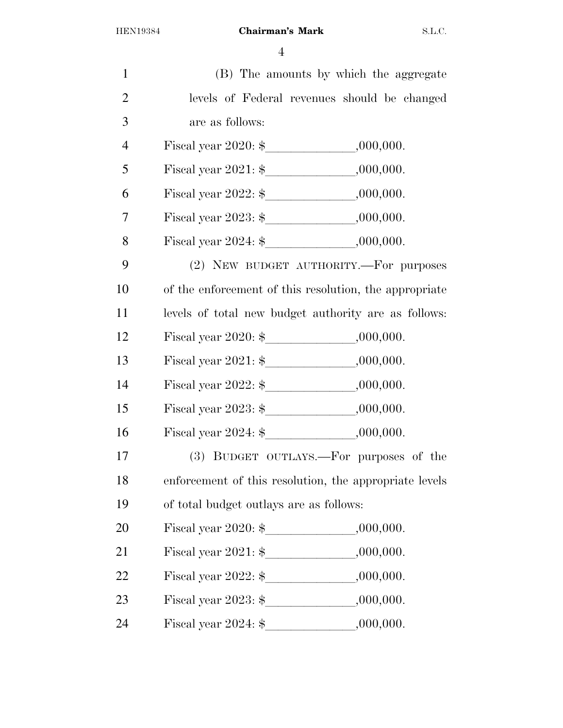| $\mathbf{1}$   | (B) The amounts by which the aggregate                 |
|----------------|--------------------------------------------------------|
| $\overline{2}$ | levels of Federal revenues should be changed           |
| 3              | are as follows:                                        |
| $\overline{4}$ |                                                        |
| 5              |                                                        |
| 6              |                                                        |
| $\overline{7}$ |                                                        |
| 8              |                                                        |
| 9              | (2) NEW BUDGET AUTHORITY.-- For purposes               |
| 10             | of the enforcement of this resolution, the appropriate |
| 11             | levels of total new budget authority are as follows:   |
| 12             |                                                        |
| 13             |                                                        |
| 14             |                                                        |
| 15             | Fiscal year $2023:$ \$ $000,000$ .                     |
| 16             |                                                        |
| 17             | (3) BUDGET OUTLAYS.—For purposes of the                |
| 18             | enforcement of this resolution, the appropriate levels |
| 19             | of total budget outlays are as follows:                |
| 20             |                                                        |
| 21             |                                                        |
| 22             |                                                        |
| 23             |                                                        |
| 24             |                                                        |
|                |                                                        |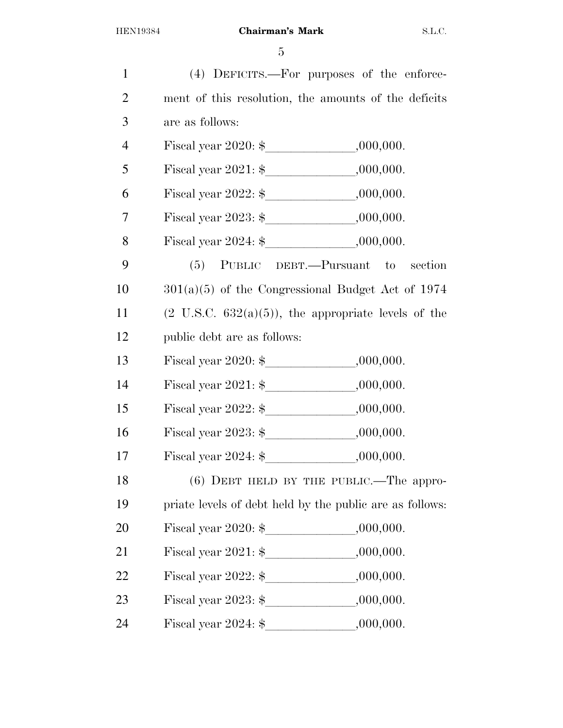| $\mathbf{1}$   |                                                                 | (4) DEFICITS.—For purposes of the enforce- |
|----------------|-----------------------------------------------------------------|--------------------------------------------|
| $\overline{2}$ | ment of this resolution, the amounts of the deficits            |                                            |
| 3              | are as follows:                                                 |                                            |
| $\overline{4}$ |                                                                 |                                            |
| 5              |                                                                 |                                            |
| 6              |                                                                 |                                            |
| $\overline{7}$ |                                                                 |                                            |
| 8              |                                                                 |                                            |
| 9              |                                                                 | (5) PUBLIC DEBT.—Pursuant to section       |
| 10             | $301(a)(5)$ of the Congressional Budget Act of 1974             |                                            |
| 11             | $(2 \text{ U.S.C. } 632(a)(5))$ , the appropriate levels of the |                                            |
| 12             | public debt are as follows:                                     |                                            |
| 13             |                                                                 |                                            |
| 14             |                                                                 |                                            |
| 15             |                                                                 |                                            |
| 16             |                                                                 |                                            |
| 17             |                                                                 |                                            |
| 18             |                                                                 | $(6)$ DEBT HELD BY THE PUBLIC.—The appro-  |
| 19             | priate levels of debt held by the public are as follows:        |                                            |
| 20             |                                                                 |                                            |
| 21             |                                                                 |                                            |
| 22             |                                                                 |                                            |
| 23             |                                                                 |                                            |
| 24             |                                                                 |                                            |
|                |                                                                 |                                            |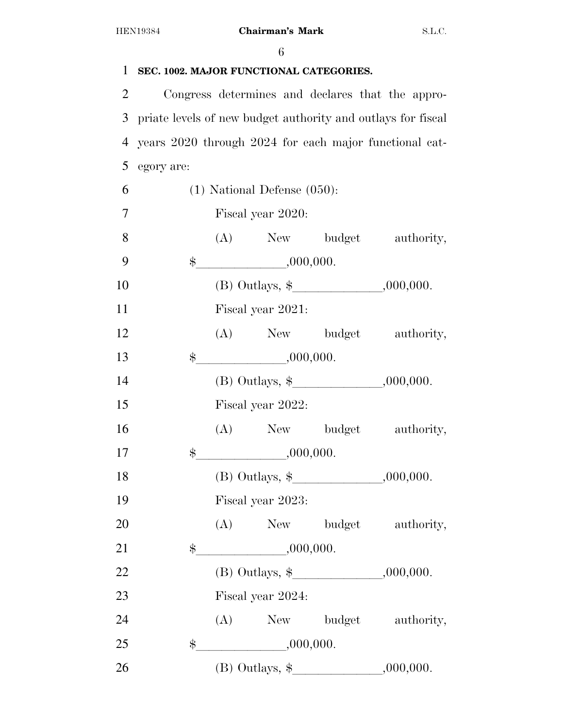| $\mathbf{1}$   | SEC. 1002. MAJOR FUNCTIONAL CATEGORIES.                      |  |                                            |  |                                                        |  |  |
|----------------|--------------------------------------------------------------|--|--------------------------------------------|--|--------------------------------------------------------|--|--|
| $\overline{2}$ |                                                              |  |                                            |  | Congress determines and declares that the appro-       |  |  |
| 3              | priate levels of new budget authority and outlays for fiscal |  |                                            |  |                                                        |  |  |
| $\overline{4}$ |                                                              |  |                                            |  | years 2020 through 2024 for each major functional cat- |  |  |
| 5              | egory are:                                                   |  |                                            |  |                                                        |  |  |
| 6              | $(1)$ National Defense $(050)$ :                             |  |                                            |  |                                                        |  |  |
| 7              |                                                              |  | Fiscal year 2020:                          |  |                                                        |  |  |
| 8              |                                                              |  |                                            |  | (A) New budget authority,                              |  |  |
| 9              |                                                              |  | $\frac{1}{2}$ .000,000.                    |  |                                                        |  |  |
| 10             |                                                              |  | (B) Outlays, $\frac{1}{2}$ , 000,000.      |  |                                                        |  |  |
| 11             |                                                              |  | Fiscal year 2021:                          |  |                                                        |  |  |
| 12             |                                                              |  |                                            |  | (A) New budget authority,                              |  |  |
| 13             | $\$\$                                                        |  | ,000,000.                                  |  |                                                        |  |  |
| 14             |                                                              |  | (B) Outlays, $\frac{1}{2}$ , 000,000.      |  |                                                        |  |  |
| 15             |                                                              |  | Fiscal year 2022:                          |  |                                                        |  |  |
| 16             |                                                              |  |                                            |  | (A) New budget authority,                              |  |  |
| 17             | $\$\$                                                        |  | .000,000.                                  |  |                                                        |  |  |
| 18             |                                                              |  |                                            |  |                                                        |  |  |
| 19             |                                                              |  | Fiscal year 2023:                          |  |                                                        |  |  |
| 20             |                                                              |  |                                            |  | (A) New budget authority,                              |  |  |
| 21             | \$                                                           |  | ,000,000.                                  |  |                                                        |  |  |
| 22             |                                                              |  | (B) Outlays, $\frac{1}{2}$ , 000,000.      |  |                                                        |  |  |
| 23             |                                                              |  | Fiscal year 2024:                          |  |                                                        |  |  |
| 24             |                                                              |  |                                            |  | (A) New budget authority,                              |  |  |
| 25             | \$                                                           |  | ,000,000.                                  |  |                                                        |  |  |
| 26             |                                                              |  | (B) Outlays, $\frac{1}{2}$ , , , .000,000. |  |                                                        |  |  |
|                |                                                              |  |                                            |  |                                                        |  |  |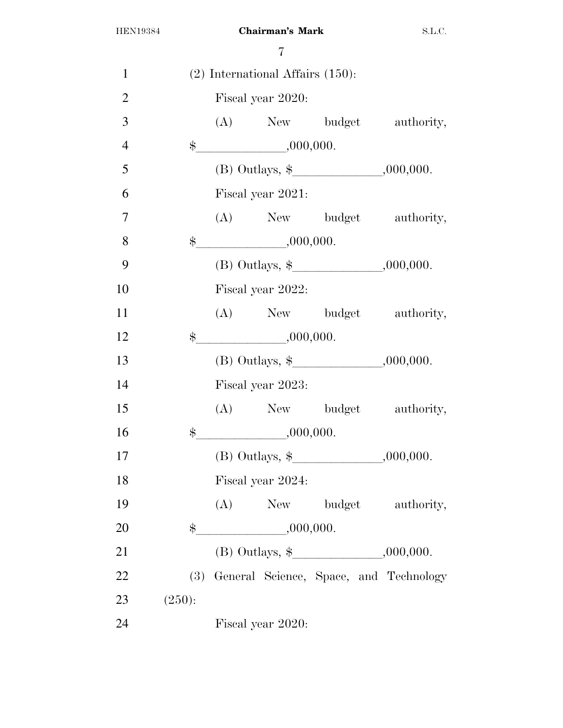| $\mathbf{1}$   |             |                   | $(2)$ International Affairs $(150)$ : |                                       |                                            |  |
|----------------|-------------|-------------------|---------------------------------------|---------------------------------------|--------------------------------------------|--|
| $\overline{2}$ |             |                   | Fiscal year 2020:                     |                                       |                                            |  |
| 3              |             |                   |                                       |                                       | (A) New budget authority,                  |  |
| $\overline{4}$ |             |                   | $\frac{1}{2}$ .000,000.               |                                       |                                            |  |
| 5              |             |                   |                                       | (B) Outlays, $\frac{1}{2}$ , 000,000. |                                            |  |
| 6              |             |                   | Fiscal year 2021:                     |                                       |                                            |  |
| $\overline{7}$ |             |                   |                                       | (A) New budget authority,             |                                            |  |
| 8              | $\ddot{\$}$ |                   | ,000,000.                             |                                       |                                            |  |
| 9              |             |                   |                                       |                                       |                                            |  |
| 10             |             |                   | Fiscal year 2022:                     |                                       |                                            |  |
| 11             |             |                   |                                       | (A) New budget authority,             |                                            |  |
| 12             | $\$\$       |                   | $\frac{1}{2}$ ,000,000.               |                                       |                                            |  |
| 13             |             |                   |                                       |                                       |                                            |  |
| 14             |             |                   | Fiscal year 2023:                     |                                       |                                            |  |
| 15             |             |                   |                                       | (A) New budget authority,             |                                            |  |
| 16             |             |                   | $\frac{1}{2}$ .000,000.               |                                       |                                            |  |
| 17             |             |                   |                                       | (B) Outlays, $\frac{1}{2}$ , 000,000. |                                            |  |
| 18             |             | Fiscal year 2024: |                                       |                                       |                                            |  |
| 19             |             | (A)               |                                       |                                       | New budget authority,                      |  |
| 20             | $\$\$       |                   | ,000,000.                             |                                       |                                            |  |
| 21             |             |                   |                                       | (B) Outlays, $\frac{1}{2}$ , 000,000. |                                            |  |
| 22             |             |                   |                                       |                                       | (3) General Science, Space, and Technology |  |
| 23             | (250):      |                   |                                       |                                       |                                            |  |
| 24             |             |                   | Fiscal year 2020:                     |                                       |                                            |  |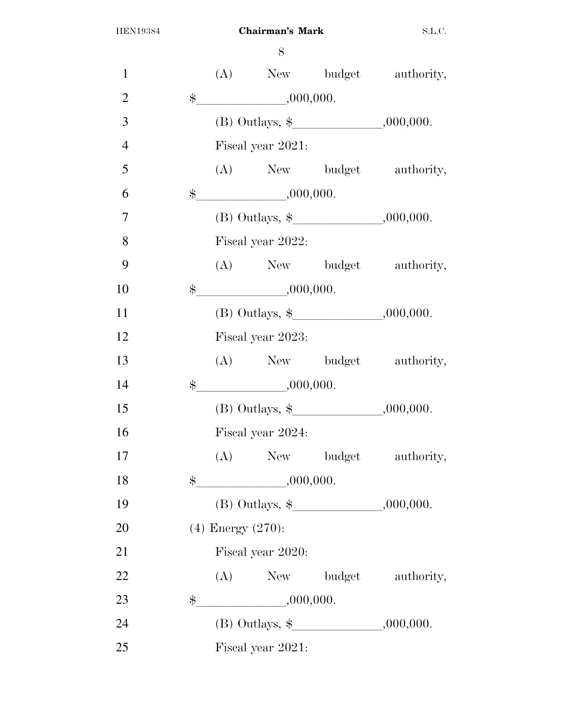| $\mathbf{1}$   |             |                        |                         |                                            | (A) New budget authority, |  |  |
|----------------|-------------|------------------------|-------------------------|--------------------------------------------|---------------------------|--|--|
| $\overline{2}$ | $\$\$       |                        | ,000,000.               |                                            |                           |  |  |
| 3              |             |                        |                         | (B) Outlays, $\frac{1}{2}$ , , , .000,000. |                           |  |  |
| $\overline{4}$ |             |                        | Fiscal year 2021:       |                                            |                           |  |  |
| 5              |             |                        |                         |                                            | (A) New budget authority, |  |  |
| 6              | $\$\$       |                        | ,000,000.               |                                            |                           |  |  |
| $\overline{7}$ |             |                        |                         | (B) Outlays, $\frac{1}{2}$ , 000,000.      |                           |  |  |
| 8              |             |                        | Fiscal year 2022:       |                                            |                           |  |  |
| 9              |             |                        |                         |                                            | (A) New budget authority, |  |  |
| 10             |             |                        | $\frac{1}{2}$ .000,000. |                                            |                           |  |  |
| 11             |             |                        |                         | (B) Outlays, $\frac{1}{2}$ .000,000.       |                           |  |  |
| 12             |             |                        | Fiscal year 2023:       |                                            |                           |  |  |
| 13             |             |                        |                         |                                            | (A) New budget authority, |  |  |
| 14             | $\ddot{\$}$ |                        | ,000,000.               |                                            |                           |  |  |
| 15             |             |                        |                         | (B) Outlays, $\frac{1}{2}$ , , , .000,000. |                           |  |  |
| 16             |             |                        | Fiscal year 2024:       |                                            |                           |  |  |
| 17             |             |                        |                         |                                            | (A) New budget authority, |  |  |
| 18             | \$          |                        |                         | ,000,000.                                  |                           |  |  |
| 19             |             |                        |                         | (B) Outlays, $\frac{1}{2}$ , 000,000.      |                           |  |  |
| 20             |             | $(4)$ Energy $(270)$ : |                         |                                            |                           |  |  |
| 21             |             |                        | Fiscal year 2020:       |                                            |                           |  |  |
| 22             |             | (A)                    |                         | New budget                                 | authority,                |  |  |
| 23             | \$          |                        | $\frac{1}{1000,000}$    |                                            |                           |  |  |
| 24             |             |                        |                         |                                            |                           |  |  |
| 25             |             |                        | Fiscal year 2021:       |                                            |                           |  |  |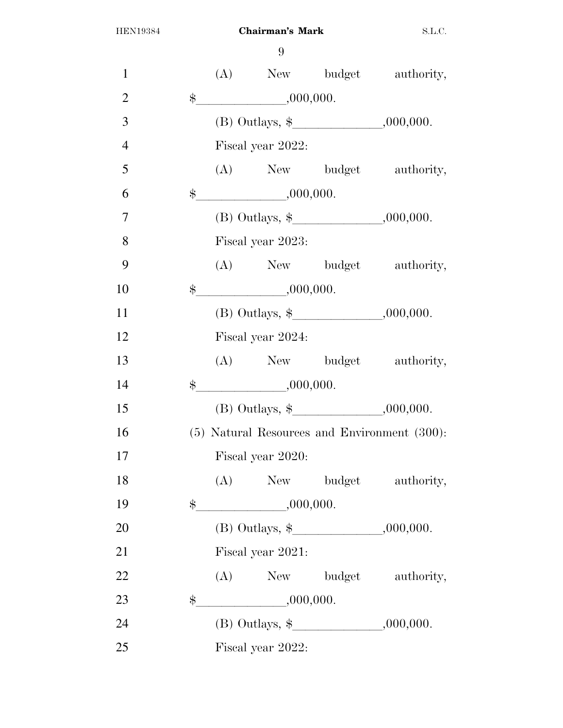| $\mathbf{1}$   |               |     |                         |                                            | (A) New budget authority,                    |
|----------------|---------------|-----|-------------------------|--------------------------------------------|----------------------------------------------|
| $\overline{2}$ | $\$\$         |     | ,000,000.               |                                            |                                              |
| 3              |               |     |                         | (B) Outlays, $\frac{1}{2}$ , 000,000.      |                                              |
| $\overline{4}$ |               |     | Fiscal year 2022:       |                                            |                                              |
| 5              |               |     |                         |                                            | (A) New budget authority,                    |
| 6              |               |     | $\frac{1}{2}$ .000,000. |                                            |                                              |
| $\overline{7}$ |               |     |                         | (B) Outlays, $\frac{1}{2}$ , 000,000.      |                                              |
| 8              |               |     | Fiscal year 2023:       |                                            |                                              |
| 9              |               |     |                         |                                            | (A) New budget authority,                    |
| 10             |               |     | $\frac{1}{2}$ ,000,000. |                                            |                                              |
| 11             |               |     |                         | (B) Outlays, $\frac{1}{2}$ , 000,000.      |                                              |
| 12             |               |     | Fiscal year 2024:       |                                            |                                              |
| 13             |               |     |                         |                                            | (A) New budget authority,                    |
| 14             | $\frac{1}{2}$ |     | ,000,000.               |                                            |                                              |
| 15             |               |     |                         | (B) Outlays, $\frac{1}{2}$ , 000,000.      |                                              |
| 16             |               |     |                         |                                            | (5) Natural Resources and Environment (300): |
| 17             |               |     | Fiscal year 2020:       |                                            |                                              |
| 18             |               | (A) |                         |                                            | New budget authority,                        |
| 19             | $\ddot{\$}$   |     | ,000,000.               |                                            |                                              |
| 20             |               |     |                         | (B) Outlays, $\frac{1}{2}$ , 000,000.      |                                              |
| 21             |               |     | Fiscal year 2021:       |                                            |                                              |
| 22             |               |     |                         |                                            | (A) New budget authority,                    |
| 23             | \$            |     | $\frac{1}{1000,0000}$   |                                            |                                              |
| 24             |               |     |                         | (B) Outlays, $\frac{1}{2}$ , , , .000,000. |                                              |
| 25             |               |     | Fiscal year 2022:       |                                            |                                              |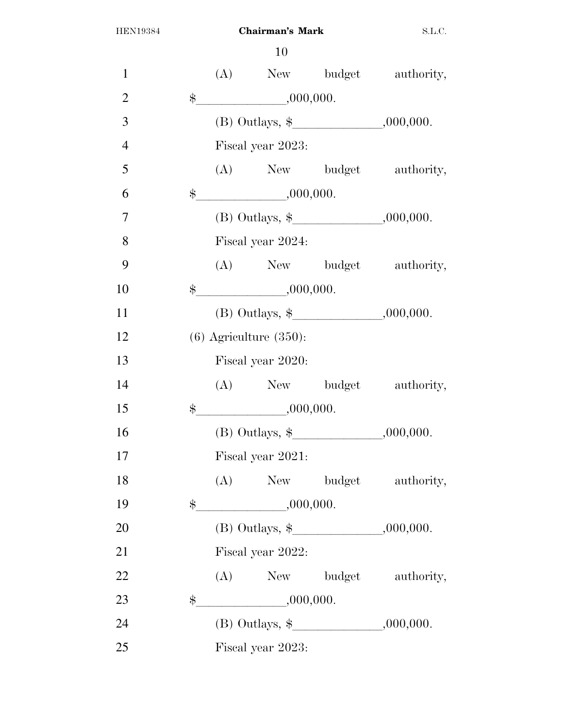| $\mathbf{1}$   |             |                             |                                       | (A) New budget authority, |
|----------------|-------------|-----------------------------|---------------------------------------|---------------------------|
| $\overline{2}$ | $\$\$       | ,000,000.                   |                                       |                           |
| 3              |             |                             | (B) Outlays, $\frac{1}{2}$ .000,000.  |                           |
| $\overline{4}$ |             | Fiscal year 2023:           |                                       |                           |
| 5              |             |                             |                                       | (A) New budget authority, |
| 6              | $\$\$       | ,000,000.                   |                                       |                           |
| $\overline{7}$ |             |                             | (B) Outlays, $\frac{1}{2}$ , 000,000. |                           |
| 8              |             | Fiscal year 2024:           |                                       |                           |
| 9              |             |                             |                                       | (A) New budget authority, |
| 10             |             | $\frac{1}{2}$ .000,000.     |                                       |                           |
| 11             |             |                             |                                       |                           |
| 12             |             | $(6)$ Agriculture $(350)$ : |                                       |                           |
| 13             |             | Fiscal year 2020:           |                                       |                           |
| 14             |             |                             |                                       | (A) New budget authority, |
| 15             | $\ddot{\$}$ | ,000,000.                   |                                       |                           |
| 16             |             |                             | (B) Outlays, $\frac{1}{2}$ , 000,000. |                           |
| 17             |             | Fiscal year 2021:           |                                       |                           |
| 18             |             |                             |                                       | (A) New budget authority, |
| 19             |             | $\frac{1}{2}$ .000,000.     |                                       |                           |
| 20             |             |                             | (B) Outlays, $\frac{1}{2}$ , 000,000. |                           |
| 21             |             | Fiscal year 2022:           |                                       |                           |
| 22             |             |                             |                                       | (A) New budget authority, |
| 23             | $\$\$       | $\frac{1}{1000,000}$        |                                       |                           |
| 24             |             |                             | (B) Outlays, $\frac{1}{2}$ , 000,000. |                           |
| 25             |             | Fiscal year 2023:           |                                       |                           |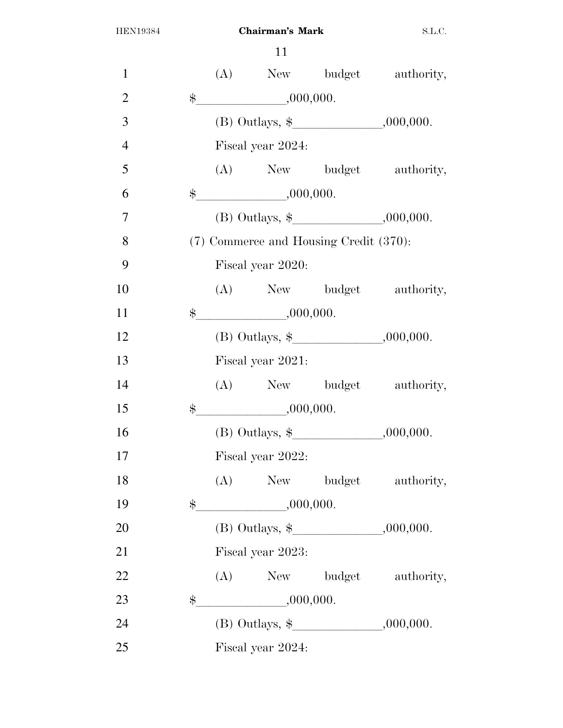| $\mathbf{1}$   |             |                         |                                            | (A) New budget authority, |
|----------------|-------------|-------------------------|--------------------------------------------|---------------------------|
| $\overline{2}$ | $\$\$       | ,000,000.               |                                            |                           |
| 3              |             |                         | (B) Outlays, $\frac{1}{2}$ , , , .000,000. |                           |
| $\overline{4}$ |             | Fiscal year 2024:       |                                            |                           |
| 5              |             |                         |                                            | (A) New budget authority, |
| 6              | $\$\$       | ,000,000.               |                                            |                           |
| $\overline{7}$ |             |                         | (B) Outlays, $\frac{1}{2}$ , , , .000,000. |                           |
| 8              |             |                         | (7) Commerce and Housing Credit (370):     |                           |
| 9              |             | Fiscal year 2020:       |                                            |                           |
| 10             |             |                         |                                            | (A) New budget authority, |
| 11             |             | $\quad$ \$ .000,000.    |                                            |                           |
| 12             |             |                         |                                            |                           |
| 13             |             | Fiscal year 2021:       |                                            |                           |
| 14             |             |                         |                                            | (A) New budget authority, |
| 15             | $\ddot{\$}$ | ,000,000.               |                                            |                           |
| 16             |             |                         |                                            |                           |
| 17             |             | Fiscal year 2022:       |                                            |                           |
| 18             |             |                         |                                            | (A) New budget authority, |
| 19             |             | $\frac{1}{2}$ .000,000. |                                            |                           |
| 20             |             |                         | (B) Outlays, $\frac{1}{2}$ , 000,000.      |                           |
| 21             |             | Fiscal year 2023:       |                                            |                           |
| 22             |             |                         |                                            | (A) New budget authority, |
| 23             | $\$\$       | $\frac{1}{1000,000}$    |                                            |                           |
| 24             |             |                         | (B) Outlays, $\frac{1}{2}$ , 000,000.      |                           |
| 25             |             | Fiscal year 2024:       |                                            |                           |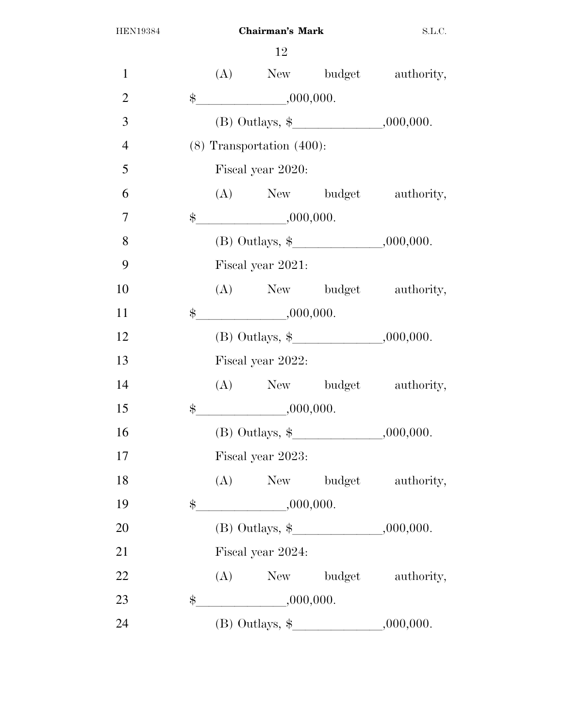| $\mathbf{1}$   |               |     |                                       |                                            | (A) New budget authority, |
|----------------|---------------|-----|---------------------------------------|--------------------------------------------|---------------------------|
| $\overline{2}$ | $\$\$         |     | $\frac{1}{1000,000}$                  |                                            |                           |
| 3              |               |     |                                       | (B) Outlays, $\frac{1}{2}$ , , , .000,000. |                           |
| $\overline{4}$ |               |     | $(8)$ Transportation $(400)$ :        |                                            |                           |
| 5              |               |     | Fiscal year 2020:                     |                                            |                           |
| 6              |               |     |                                       |                                            | (A) New budget authority, |
| 7              | $\ddot{\$}$   |     | ,000,000.                             |                                            |                           |
| 8              |               |     |                                       | (B) Outlays, $\frac{1}{2}$ .000,000.       |                           |
| 9              |               |     | Fiscal year 2021:                     |                                            |                           |
| 10             |               |     |                                       |                                            | (A) New budget authority, |
| 11             | $\ddot{\$}$   |     | ,000,000.                             |                                            |                           |
| 12             |               |     |                                       | (B) Outlays, $\frac{1}{2}$ .000,000.       |                           |
| 13             |               |     | Fiscal year 2022:                     |                                            |                           |
| 14             |               |     |                                       |                                            | (A) New budget authority, |
| 15             | $\$\$         |     | $\frac{1}{2}$ ,000,000.               |                                            |                           |
| 16             |               |     |                                       | (B) Outlays, $\frac{1}{2}$ , 000,000.      |                           |
| 17             |               |     | Fiscal year 2023:                     |                                            |                           |
| 18             |               | (A) |                                       | New budget                                 | authority,                |
| 19             | $\frac{1}{2}$ |     | ,000,000.                             |                                            |                           |
| 20             |               |     | (B) Outlays, $\frac{1}{2}$ , 000,000. |                                            |                           |
| 21             |               |     | Fiscal year 2024:                     |                                            |                           |
| 22             |               | (A) |                                       |                                            | New budget authority,     |
| 23             | \$            |     | $\frac{1}{1000,000}$                  |                                            |                           |
| 24             |               |     |                                       | (B) Outlays, $\frac{1}{2}$ , 000,000.      |                           |
|                |               |     |                                       |                                            |                           |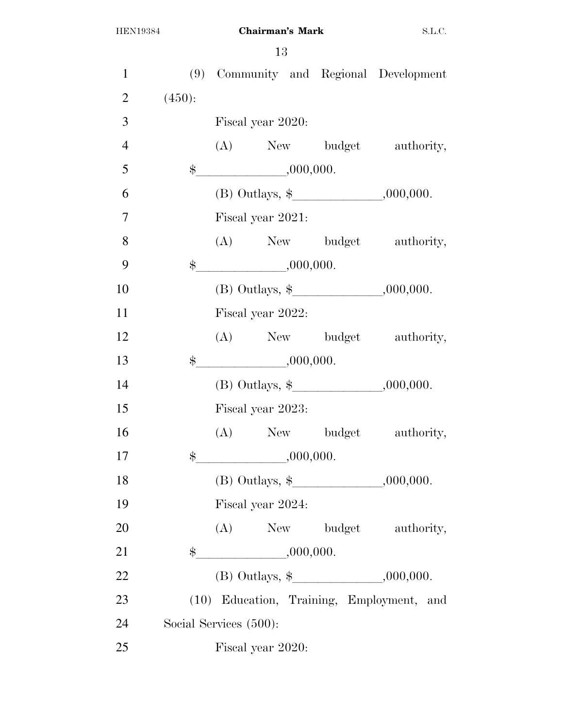| $\mathbf{1}$   |                        |                         |  | (9) Community and Regional Development     |
|----------------|------------------------|-------------------------|--|--------------------------------------------|
| $\overline{2}$ | (450):                 |                         |  |                                            |
| 3              |                        | Fiscal year 2020:       |  |                                            |
| $\overline{4}$ |                        |                         |  | (A) New budget authority,                  |
| 5              |                        | $\frac{1}{2}$ .000,000. |  |                                            |
| 6              |                        |                         |  |                                            |
| $\overline{7}$ |                        | Fiscal year 2021:       |  |                                            |
| 8              |                        |                         |  | (A) New budget authority,                  |
| 9              | $\ddot{\$}$            | ,000,000.               |  |                                            |
| 10             |                        |                         |  | (B) Outlays, $\frac{1}{2}$ , , , .000,000. |
| 11             |                        | Fiscal year 2022:       |  |                                            |
| 12             |                        |                         |  | (A) New budget authority,                  |
| 13             | $\frac{1}{2}$          | ,000,000.               |  |                                            |
| 14             |                        |                         |  | (B) Outlays, $\frac{1}{2}$ , 000,000.      |
| 15             |                        | Fiscal year 2023:       |  |                                            |
| 16             |                        |                         |  | (A) New budget authority,                  |
| 17             | $\$\,$                 | ,000,000.               |  |                                            |
| 18             |                        |                         |  | (B) Outlays, $\frac{1}{2}$ , , , .000,000. |
| 19             |                        | Fiscal year 2024:       |  |                                            |
| 20             |                        |                         |  | (A) New budget authority,                  |
| 21             |                        | $\frac{1}{2}$ ,000,000. |  |                                            |
| 22             |                        |                         |  | (B) Outlays, $\frac{1}{2}$ , 000,000.      |
| 23             |                        |                         |  | (10) Education, Training, Employment, and  |
| 24             | Social Services (500): |                         |  |                                            |
| 25             |                        | Fiscal year 2020:       |  |                                            |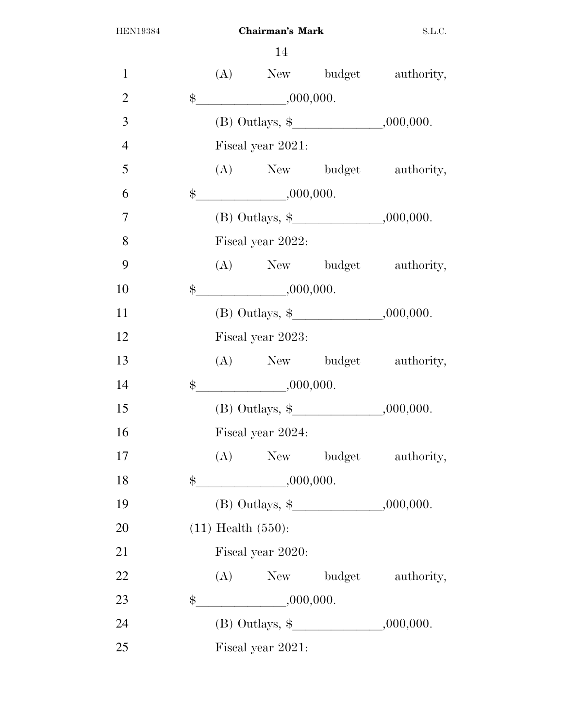| $\mathbf{1}$   |               |                                                      |                                          | (A) New budget authority,             |
|----------------|---------------|------------------------------------------------------|------------------------------------------|---------------------------------------|
| $\overline{2}$ | $\frac{1}{2}$ | ,000,000.                                            |                                          |                                       |
| 3              |               |                                                      |                                          |                                       |
| $\overline{4}$ |               | Fiscal year 2021:                                    |                                          |                                       |
| 5              |               |                                                      |                                          | (A) New budget authority,             |
| 6              | $\frac{1}{2}$ | ,000,000.                                            |                                          |                                       |
| $\overline{7}$ |               |                                                      |                                          |                                       |
| 8              |               | Fiscal year 2022:                                    |                                          |                                       |
| 9              |               |                                                      |                                          | (A) New budget authority,             |
| 10             | $\ddot{\$}$   | $\begin{array}{c} \hline \text{000,000} \end{array}$ |                                          |                                       |
| 11             |               |                                                      | (B) Outlays, $\frac{1}{2}$ , 000,000.    |                                       |
| 12             |               | Fiscal year 2023:                                    |                                          |                                       |
| 13             |               |                                                      |                                          | (A) New budget authority,             |
| 14             | $\ddot{\$}$   | ,000,000.                                            |                                          |                                       |
| 15             |               |                                                      |                                          | (B) Outlays, $\frac{1}{2}$ , 000,000. |
| 16             |               | Fiscal year 2024:                                    |                                          |                                       |
| 17             |               |                                                      |                                          | (A) New budget authority,             |
| 18             | $\$\$         | ,000,000.                                            |                                          |                                       |
| 19             |               |                                                      | (B) Outlays, $\frac{1}{2}$ , 000,000.    |                                       |
| 20             |               | $(11)$ Health $(550)$ :                              |                                          |                                       |
| 21             |               | Fiscal year 2020:                                    |                                          |                                       |
| 22             |               |                                                      |                                          | (A) New budget authority,             |
| 23             | \$            | ,000,000.                                            |                                          |                                       |
| 24             |               |                                                      | (B) Outlays, $\frac{1}{2}$ , , .000,000. |                                       |
| 25             |               | Fiscal year 2021:                                    |                                          |                                       |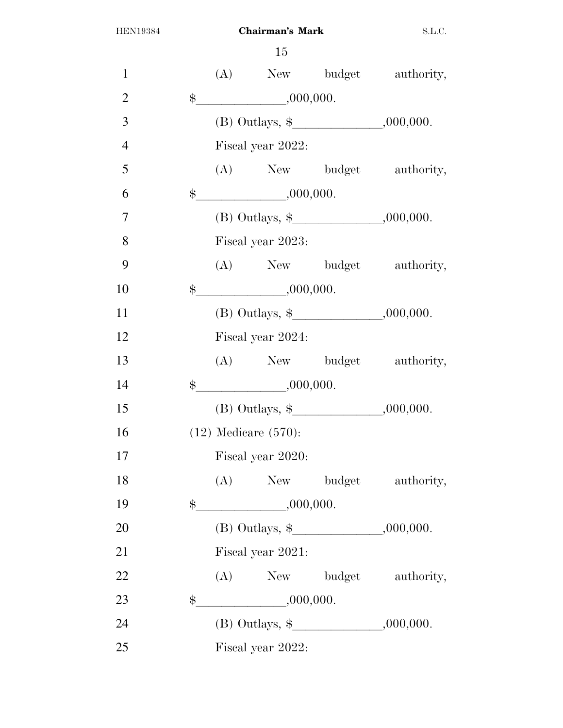| $\mathbf{1}$   |             |                                       |                         |                                            | (A) New budget authority, |  |  |
|----------------|-------------|---------------------------------------|-------------------------|--------------------------------------------|---------------------------|--|--|
| $\overline{2}$ | $\$\$       |                                       | ,000,000.               |                                            |                           |  |  |
| 3              |             |                                       |                         | (B) Outlays, $\frac{1}{2}$ .000,000.       |                           |  |  |
| $\overline{4}$ |             |                                       | Fiscal year 2022:       |                                            |                           |  |  |
| 5              |             |                                       |                         |                                            | (A) New budget authority, |  |  |
| 6              | $\$\$       |                                       | $\frac{1}{1000,000}$    |                                            |                           |  |  |
| $\overline{7}$ |             |                                       |                         | (B) Outlays, $\frac{1}{2}$ , , , .000,000. |                           |  |  |
| 8              |             |                                       | Fiscal year 2023:       |                                            |                           |  |  |
| 9              |             |                                       |                         |                                            | (A) New budget authority, |  |  |
| 10             |             |                                       | $\frac{1}{2}$ .000,000. |                                            |                           |  |  |
| 11             |             | (B) Outlays, $\frac{1}{2}$ , 000,000. |                         |                                            |                           |  |  |
| 12             |             | Fiscal year 2024:                     |                         |                                            |                           |  |  |
| 13             |             |                                       |                         |                                            | (A) New budget authority, |  |  |
| 14             | $\ddot{\$}$ |                                       | ,000,000.               |                                            |                           |  |  |
| 15             |             |                                       |                         | (B) Outlays, $\frac{1}{2}$ , 000,000.      |                           |  |  |
| 16             |             | $(12)$ Medicare $(570)$ :             |                         |                                            |                           |  |  |
| 17             |             |                                       | Fiscal year 2020:       |                                            |                           |  |  |
| 18             |             |                                       |                         | (A) New budget                             | authority,                |  |  |
| 19             |             |                                       | $\frac{1}{2}$ .000,000. |                                            |                           |  |  |
| 20             |             |                                       |                         | (B) Outlays, $\frac{1}{2}$ , 000,000.      |                           |  |  |
| 21             |             | Fiscal year 2021:                     |                         |                                            |                           |  |  |
| 22             |             |                                       |                         |                                            | (A) New budget authority, |  |  |
| 23             | $\$\$       |                                       | $\frac{1}{1000,000}$    |                                            |                           |  |  |
| 24             |             |                                       |                         | (B) Outlays, $\frac{1}{2}$ , , .000,000.   |                           |  |  |
| 25             |             |                                       | Fiscal year 2022:       |                                            |                           |  |  |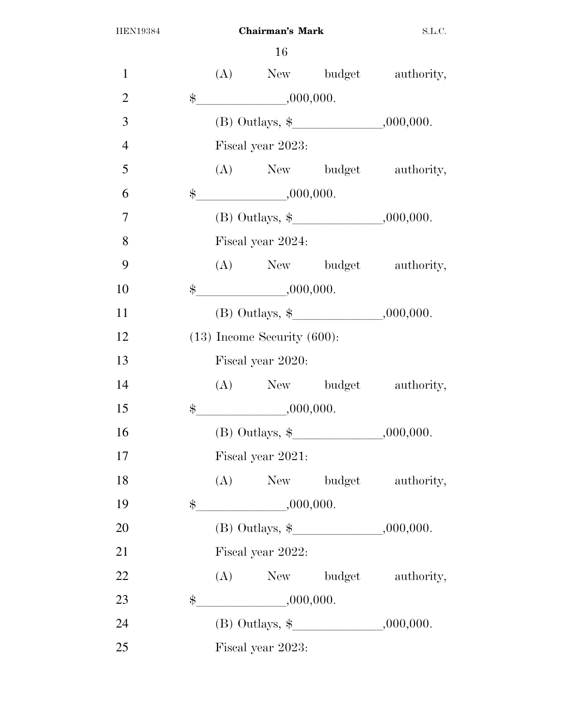| $\mathbf{1}$   |       |                                  |                         |                                            | (A) New budget authority, |  |
|----------------|-------|----------------------------------|-------------------------|--------------------------------------------|---------------------------|--|
| $\overline{2}$ | $\$\$ |                                  | ,000,000.               |                                            |                           |  |
| 3              |       |                                  |                         | (B) Outlays, $\frac{1}{2}$ .000,000.       |                           |  |
| $\overline{4}$ |       |                                  | Fiscal year 2023:       |                                            |                           |  |
| 5              |       |                                  |                         |                                            | (A) New budget authority, |  |
| 6              | $\$\$ |                                  | ,000,000.               |                                            |                           |  |
| $\overline{7}$ |       |                                  |                         | (B) Outlays, $\frac{1}{2}$ , 000,000.      |                           |  |
| 8              |       |                                  | Fiscal year 2024:       |                                            |                           |  |
| 9              |       |                                  |                         |                                            | (A) New budget authority, |  |
| 10             |       |                                  | $\frac{1}{2}$ .000,000. |                                            |                           |  |
| 11             |       |                                  |                         | (B) Outlays, $\frac{1}{2}$ , , , .000,000. |                           |  |
| 12             |       | $(13)$ Income Security $(600)$ : |                         |                                            |                           |  |
| 13             |       |                                  | Fiscal year 2020:       |                                            |                           |  |
| 14             |       |                                  |                         |                                            | (A) New budget authority, |  |
| 15             |       |                                  | $\frac{1}{2}$ .000,000. |                                            |                           |  |
| 16             |       |                                  |                         |                                            |                           |  |
| 17             |       |                                  | Fiscal year 2021:       |                                            |                           |  |
| 18             |       |                                  |                         |                                            | (A) New budget authority, |  |
| 19             |       |                                  | $\frac{1}{2}$ .000,000. |                                            |                           |  |
| 20             |       |                                  |                         | (B) Outlays, $\frac{1}{2}$ , 000,000.      |                           |  |
| 21             |       | Fiscal year 2022:                |                         |                                            |                           |  |
| 22             |       |                                  |                         |                                            | (A) New budget authority, |  |
| 23             | $\$\$ |                                  | $\frac{1}{1000,000}$    |                                            |                           |  |
| 24             |       |                                  |                         | (B) Outlays, $\frac{1}{2}$ , 000,000.      |                           |  |
| 25             |       |                                  | Fiscal year 2023:       |                                            |                           |  |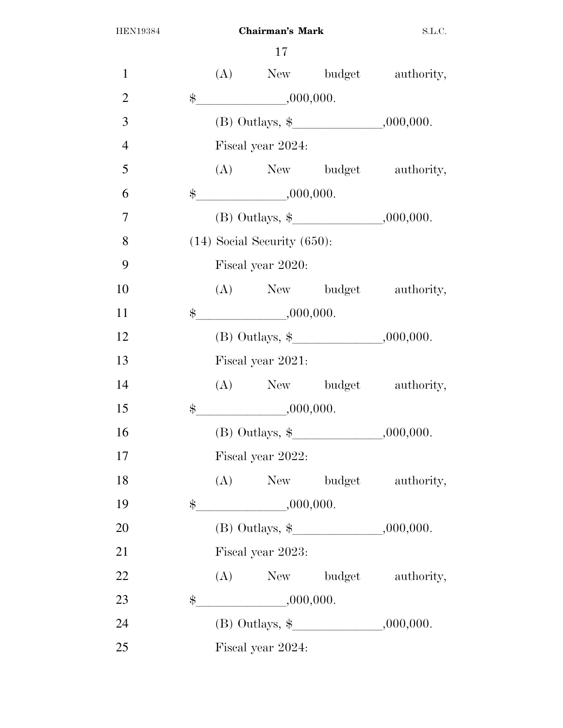| $\mathbf{1}$   |       |                   |                                  |                                       | (A) New budget authority, |  |
|----------------|-------|-------------------|----------------------------------|---------------------------------------|---------------------------|--|
| $\overline{2}$ | $\$\$ |                   | ,000,000.                        |                                       |                           |  |
| 3              |       |                   |                                  | (B) Outlays, $\frac{1}{2}$ , 000,000. |                           |  |
| $\overline{4}$ |       |                   | Fiscal year 2024:                |                                       |                           |  |
| 5              |       |                   |                                  |                                       | (A) New budget authority, |  |
| 6              | $\$\$ |                   | ,000,000.                        |                                       |                           |  |
| $\overline{7}$ |       |                   |                                  | (B) Outlays, $\frac{1}{2}$ , 000,000. |                           |  |
| 8              |       |                   | $(14)$ Social Security $(650)$ : |                                       |                           |  |
| 9              |       |                   | Fiscal year 2020:                |                                       |                           |  |
| 10             |       |                   |                                  |                                       | (A) New budget authority, |  |
| 11             |       |                   | $\frac{1}{2}$ .000,000.          |                                       |                           |  |
| 12             |       |                   |                                  |                                       |                           |  |
| 13             |       | Fiscal year 2021: |                                  |                                       |                           |  |
| 14             |       |                   |                                  |                                       | (A) New budget authority, |  |
| 15             | $\$\$ |                   | ,000,000.                        |                                       |                           |  |
| 16             |       |                   |                                  |                                       |                           |  |
| 17             |       |                   | Fiscal year 2022:                |                                       |                           |  |
| 18             |       |                   |                                  |                                       | (A) New budget authority, |  |
| 19             |       |                   | $\frac{1}{2}$ .000,000.          |                                       |                           |  |
| 20             |       |                   |                                  | (B) Outlays, $\frac{1}{2}$ , 000,000. |                           |  |
| 21             |       |                   | Fiscal year 2023:                |                                       |                           |  |
| 22             |       |                   |                                  |                                       | (A) New budget authority, |  |
| 23             | $\$\$ |                   | $\frac{1}{1000,000}$             |                                       |                           |  |
| 24             |       |                   |                                  | (B) Outlays, $\frac{1}{2}$ , 000,000. |                           |  |
| 25             |       |                   | Fiscal year 2024:                |                                       |                           |  |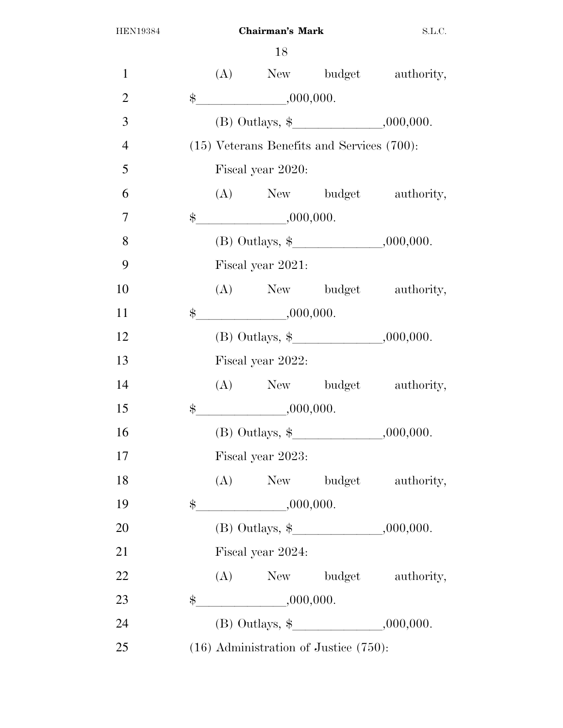| $\mathbf{1}$   |             |                   |                   |                                                 | (A) New budget authority, |  |  |
|----------------|-------------|-------------------|-------------------|-------------------------------------------------|---------------------------|--|--|
| $\overline{2}$ | $\ddot{\$}$ |                   | ,000,000.         |                                                 |                           |  |  |
| 3              |             |                   |                   | (B) Outlays, $\frac{1}{2}$ , , , .000,000.      |                           |  |  |
| $\overline{4}$ |             |                   |                   | $(15)$ Veterans Benefits and Services $(700)$ : |                           |  |  |
| 5              |             |                   | Fiscal year 2020: |                                                 |                           |  |  |
| 6              |             |                   |                   |                                                 | (A) New budget authority, |  |  |
| $\overline{7}$ | $\$\$       |                   | ,000,000.         |                                                 |                           |  |  |
| 8              |             |                   |                   | (B) Outlays, $\frac{1}{2}$ , 000,000.           |                           |  |  |
| 9              |             |                   | Fiscal year 2021: |                                                 |                           |  |  |
| 10             |             |                   |                   |                                                 | (A) New budget authority, |  |  |
| 11             | $\ddot{\$}$ |                   | ,000,000.         |                                                 |                           |  |  |
| 12             |             |                   |                   | (B) Outlays, $\frac{1}{2}$ .000,000.            |                           |  |  |
| 13             |             | Fiscal year 2022: |                   |                                                 |                           |  |  |
| 14             |             |                   |                   |                                                 | (A) New budget authority, |  |  |
| 15             | $\$\$       |                   | ,000,000.         |                                                 |                           |  |  |
| 16             |             |                   |                   | (B) Outlays, $\frac{1}{2}$ , 000,000.           |                           |  |  |
| 17             |             |                   | Fiscal year 2023: |                                                 |                           |  |  |
| 18             |             | (A)               |                   |                                                 | New budget authority,     |  |  |
| 19             | $\$\$       |                   | ,000,000.         |                                                 |                           |  |  |
| 20             |             |                   |                   | (B) Outlays, $\frac{1}{2}$ , 000,000.           |                           |  |  |
| 21             |             |                   | Fiscal year 2024: |                                                 |                           |  |  |
| 22             |             |                   |                   |                                                 | (A) New budget authority, |  |  |
| 23             | \$          |                   | $-$ ,000,000.     |                                                 |                           |  |  |
| 24             |             |                   |                   | (B) Outlays, $\frac{1}{2}$ , , , .000,000.      |                           |  |  |
| 25             |             |                   |                   | $(16)$ Administration of Justice $(750)$ :      |                           |  |  |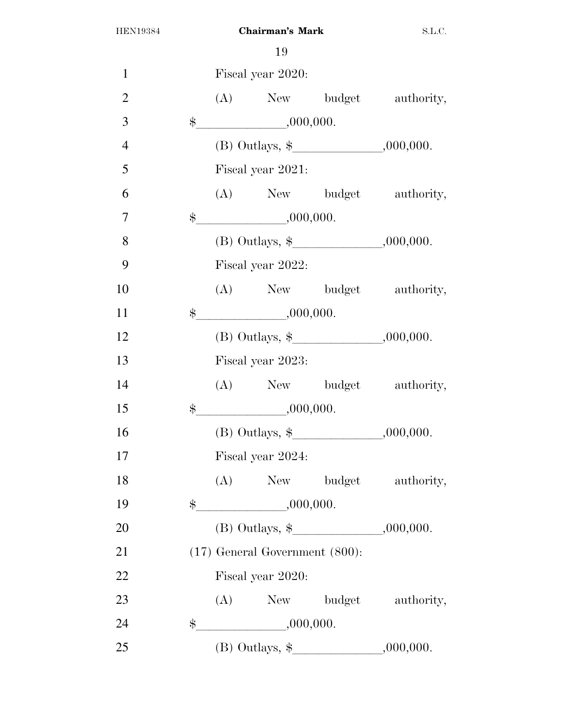| $\mathbf{1}$   |               | Fiscal year 2020:                   |                                            |                           |
|----------------|---------------|-------------------------------------|--------------------------------------------|---------------------------|
| $\overline{2}$ |               |                                     |                                            | (A) New budget authority, |
| 3              |               | $\frac{1}{2}$ .000,000.             |                                            |                           |
| $\overline{4}$ |               |                                     |                                            |                           |
| 5              |               | Fiscal year 2021:                   |                                            |                           |
| 6              |               |                                     |                                            | (A) New budget authority, |
| $\overline{7}$ | $\ddot{\$}$   | ,000,000.                           |                                            |                           |
| 8              |               |                                     | (B) Outlays, $\frac{1}{2}$ , , , .000,000. |                           |
| 9              |               | Fiscal year 2022:                   |                                            |                           |
| 10             |               |                                     |                                            | (A) New budget authority, |
| 11             | $\frac{1}{2}$ | ,000,000.                           |                                            |                           |
| 12             |               |                                     | (B) Outlays, $\frac{1}{2}$ , 000,000.      |                           |
| 13             |               | Fiscal year 2023:                   |                                            |                           |
| 14             |               |                                     |                                            | (A) New budget authority, |
| 15             | $\ddot{\$}$   | ,000,000.                           |                                            |                           |
| 16             |               |                                     | (B) Outlays, $\frac{1}{2}$ , 000,000.      |                           |
| 17             |               | Fiscal year 2024:                   |                                            |                           |
| 18             |               |                                     |                                            | (A) New budget authority, |
| 19             |               |                                     |                                            |                           |
| 20             |               |                                     | (B) Outlays, $\frac{1}{2}$ , 000,000.      |                           |
| 21             |               | $(17)$ General Government $(800)$ : |                                            |                           |
| 22             |               | Fiscal year 2020:                   |                                            |                           |
| 23             |               |                                     |                                            | (A) New budget authority, |
| 24             |               | $\frac{1}{2}$ .000,000.             |                                            |                           |
| 25             |               |                                     | (B) Outlays, $\frac{1}{2}$ , 000,000.      |                           |
|                |               |                                     |                                            |                           |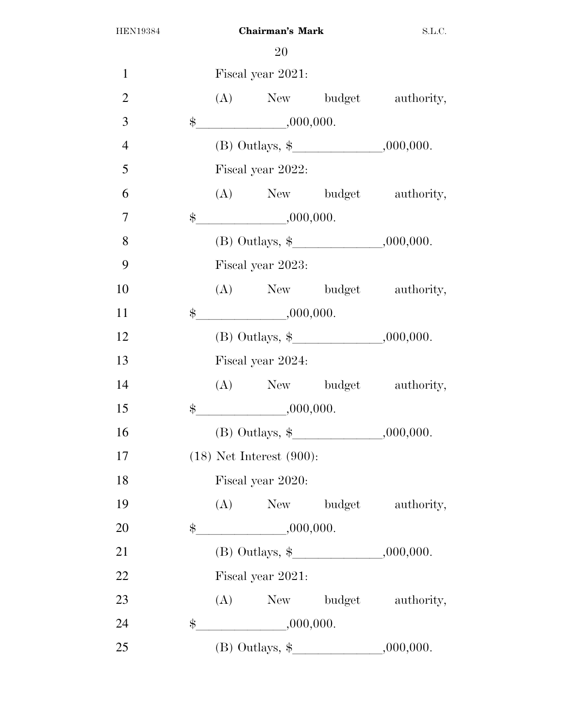| $\mathbf{1}$   |             | Fiscal year 2021:                          |  |                           |  |  |
|----------------|-------------|--------------------------------------------|--|---------------------------|--|--|
| $\overline{2}$ |             |                                            |  | (A) New budget authority, |  |  |
| 3              |             | $\frac{1}{2}$ .000,000.                    |  |                           |  |  |
| $\overline{4}$ |             | (B) Outlays, $\frac{1}{2}$ , 000,000.      |  |                           |  |  |
| 5              |             | Fiscal year 2022:                          |  |                           |  |  |
| 6              |             |                                            |  | (A) New budget authority, |  |  |
| $\overline{7}$ |             | $\frac{1}{2}$ .000,000.                    |  |                           |  |  |
| 8              |             | (B) Outlays, $\frac{1}{2}$ , 000,000.      |  |                           |  |  |
| 9              |             | Fiscal year 2023:                          |  |                           |  |  |
| 10             |             |                                            |  | (A) New budget authority, |  |  |
| 11             | $\$\$       | ,000,000.                                  |  |                           |  |  |
| 12             |             | (B) Outlays, $\frac{1}{2}$ , 000,000.      |  |                           |  |  |
| 13             |             | Fiscal year 2024:                          |  |                           |  |  |
| 14             |             |                                            |  | (A) New budget authority, |  |  |
| 15             |             | $\frac{1}{2}$ ,000,000.                    |  |                           |  |  |
| 16             |             | (B) Outlays, $\frac{1}{2}$ , , , .000,000. |  |                           |  |  |
| 17             |             | $(18)$ Net Interest $(900)$ :              |  |                           |  |  |
| 18             |             | Fiscal year 2020:                          |  |                           |  |  |
| 19             |             |                                            |  | (A) New budget authority, |  |  |
| 20             | \$          | ,000,000.                                  |  |                           |  |  |
| 21             |             |                                            |  |                           |  |  |
| 22             |             | Fiscal year 2021:                          |  |                           |  |  |
| 23             |             |                                            |  | (A) New budget authority, |  |  |
| 24             | $\ddot{\$}$ | $\frac{1}{1000,000}$                       |  |                           |  |  |
| 25             |             | (B) Outlays, $\frac{1}{2}$ , 000,000.      |  |                           |  |  |
|                |             |                                            |  |                           |  |  |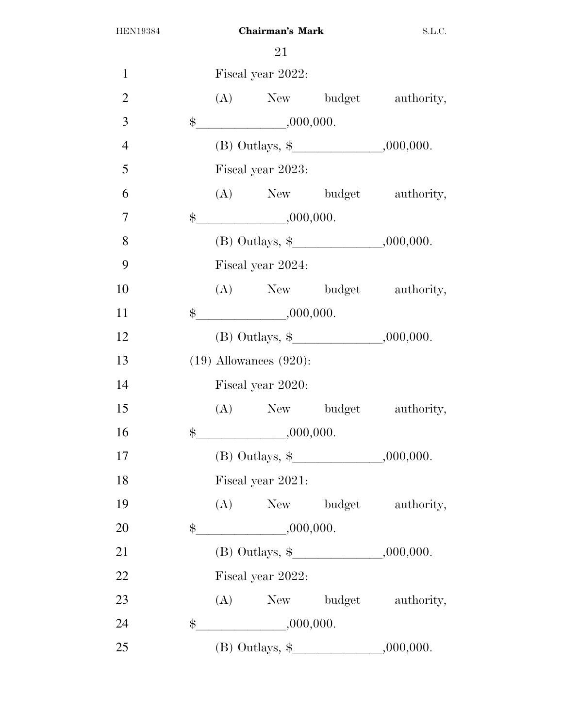| $\mathbf{1}$   |               |                             | Fiscal year 2022:       |                                            |                                       |  |
|----------------|---------------|-----------------------------|-------------------------|--------------------------------------------|---------------------------------------|--|
| $\overline{2}$ |               |                             |                         |                                            | (A) New budget authority,             |  |
| 3              |               |                             | $\frac{1}{2}$ .000,000. |                                            |                                       |  |
| $\overline{4}$ |               |                             |                         |                                            |                                       |  |
| 5              |               |                             | Fiscal year 2023:       |                                            |                                       |  |
| 6              |               |                             |                         |                                            | (A) New budget authority,             |  |
| $\overline{7}$ | $\$\$         |                             | ,000,000.               |                                            |                                       |  |
| 8              |               |                             |                         |                                            | (B) Outlays, $\frac{1}{2}$ , 000,000. |  |
| 9              |               |                             | Fiscal year 2024:       |                                            |                                       |  |
| 10             |               |                             |                         |                                            | (A) New budget authority,             |  |
| 11             | $\frac{1}{2}$ |                             | ,000,000.               |                                            |                                       |  |
| 12             |               |                             |                         | (B) Outlays, $\frac{1}{2}$ , , , .000,000. |                                       |  |
| 13             |               | $(19)$ Allowances $(920)$ : |                         |                                            |                                       |  |
| 14             |               | Fiscal year 2020:           |                         |                                            |                                       |  |
| 15             |               |                             |                         |                                            | (A) New budget authority,             |  |
| 16             | $\$\$         |                             | ,000,000.               |                                            |                                       |  |
| 17             |               |                             |                         | (B) Outlays, $\frac{1}{2}$ , 000,000.      |                                       |  |
| 18             |               |                             | Fiscal year 2021:       |                                            |                                       |  |
| 19             |               |                             |                         |                                            | (A) New budget authority,             |  |
| 20             | $\$\$         |                             | ,000,000.               |                                            |                                       |  |
| 21             |               |                             |                         | (B) Outlays, $\frac{1}{2}$ , 000,000.      |                                       |  |
| 22             |               |                             | Fiscal year 2022:       |                                            |                                       |  |
| 23             |               |                             |                         |                                            | (A) New budget authority,             |  |
| 24             | \$            |                             | $-$ ,000,000.           |                                            |                                       |  |
| 25             |               |                             |                         |                                            |                                       |  |
|                |               |                             |                         |                                            |                                       |  |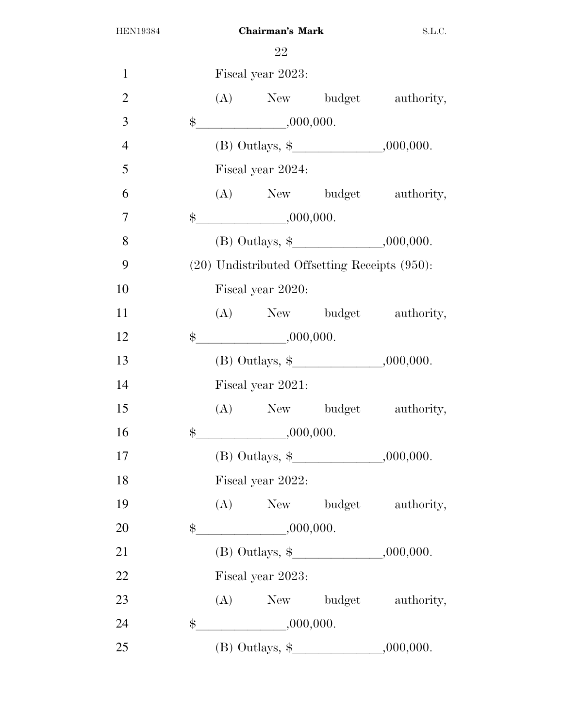| $\mathbf{1}$   |             |                   | Fiscal year 2023:       |                                                    |                           |  |  |
|----------------|-------------|-------------------|-------------------------|----------------------------------------------------|---------------------------|--|--|
| $\overline{2}$ |             |                   |                         |                                                    | (A) New budget authority, |  |  |
| 3              |             |                   | $\frac{1}{2}$ .000,000. |                                                    |                           |  |  |
| $\overline{4}$ |             |                   |                         | (B) Outlays, $\frac{1}{2}$ , 000,000.              |                           |  |  |
| 5              |             |                   | Fiscal year 2024:       |                                                    |                           |  |  |
| 6              |             |                   |                         |                                                    | (A) New budget authority, |  |  |
| 7              | $\ddot{\$}$ |                   | ,000,000.               |                                                    |                           |  |  |
| 8              |             |                   |                         | (B) Outlays, $\frac{1}{2}$ , 000,000.              |                           |  |  |
| 9              |             |                   |                         | $(20)$ Undistributed Offsetting Receipts $(950)$ : |                           |  |  |
| 10             |             |                   | Fiscal year 2020:       |                                                    |                           |  |  |
| 11             |             |                   |                         |                                                    | (A) New budget authority, |  |  |
| 12             |             |                   | $\frac{1}{2}$ ,000,000. |                                                    |                           |  |  |
| 13             |             |                   |                         | (B) Outlays, $\frac{1}{2}$ , , .000,000.           |                           |  |  |
| 14             |             | Fiscal year 2021: |                         |                                                    |                           |  |  |
| 15             |             |                   |                         |                                                    | (A) New budget authority, |  |  |
| 16             | $\ddot{\$}$ |                   | ,000,000.               |                                                    |                           |  |  |
| 17             |             |                   |                         | (B) Outlays, $\frac{1}{2}$ , 000,000.              |                           |  |  |
| 18             |             |                   | Fiscal year 2022:       |                                                    |                           |  |  |
| 19             |             |                   |                         |                                                    | (A) New budget authority, |  |  |
| 20             | \$          |                   | ,000,000.               |                                                    |                           |  |  |
| 21             |             |                   |                         | (B) Outlays, $\frac{1}{2}$ , 000,000.              |                           |  |  |
| 22             |             |                   | Fiscal year 2023:       |                                                    |                           |  |  |
| 23             |             |                   |                         |                                                    | (A) New budget authority, |  |  |
| 24             | \$          |                   | ,000,000.               |                                                    |                           |  |  |
| 25             |             |                   |                         | (B) Outlays, $\frac{1}{2}$ , 000,000.              |                           |  |  |
|                |             |                   |                         |                                                    |                           |  |  |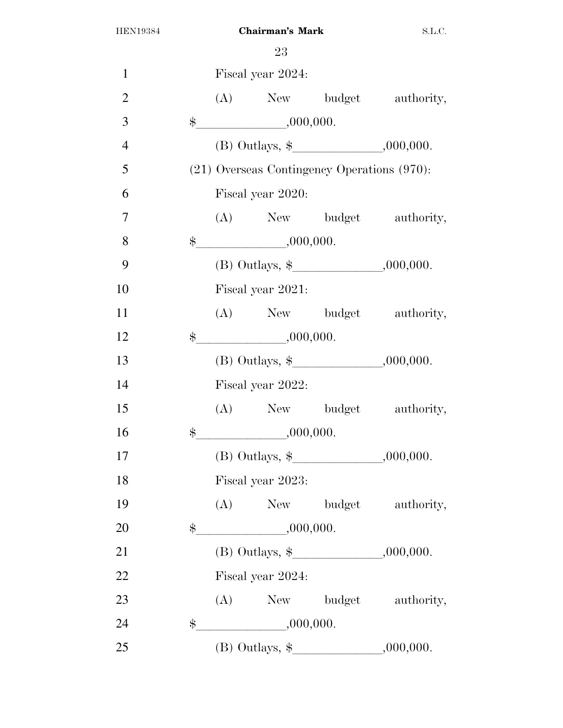| $\mathbf{1}$   |               | Fiscal year 2024:                           |                                       |
|----------------|---------------|---------------------------------------------|---------------------------------------|
| $\overline{2}$ |               |                                             | (A) New budget authority,             |
| 3              |               | $\frac{1}{2}$ .000,000.                     |                                       |
| $\overline{4}$ |               |                                             | (B) Outlays, $\frac{1}{2}$ , 000,000. |
| 5              |               | (21) Overseas Contingency Operations (970): |                                       |
| 6              |               | Fiscal year 2020:                           |                                       |
| $\overline{7}$ |               |                                             | (A) New budget authority,             |
| 8              |               | $\frac{1}{2}$ .000,000.                     |                                       |
| 9              |               |                                             |                                       |
| 10             |               | Fiscal year 2021:                           |                                       |
| 11             |               |                                             | (A) New budget authority,             |
| 12             | $\frac{1}{2}$ | ,000,000.                                   |                                       |
| 13             |               |                                             | (B) Outlays, $\frac{1}{2}$ , 000,000. |
| 14             |               | Fiscal year 2022:                           |                                       |
| 15             |               |                                             | (A) New budget authority,             |
| 16             | $\frac{1}{2}$ | $\frac{1}{1000,000}$                        |                                       |
| 17             |               | (B) Outlays, $\frac{1}{2}$ , , , .000,000.  |                                       |
| 18             |               | Fiscal year 2023:                           |                                       |
| 19             |               |                                             | (A) New budget authority,             |
| 20             | \$            | $\frac{1}{1000,000}$                        |                                       |
| 21             |               | (B) Outlays, $\frac{1}{2}$ , 000,000.       |                                       |
| 22             |               | Fiscal year 2024:                           |                                       |
| 23             |               |                                             | (A) New budget authority,             |
| 24             | $\ddot{\$}$   | ,000,000.                                   |                                       |
| 25             |               |                                             |                                       |
|                |               |                                             |                                       |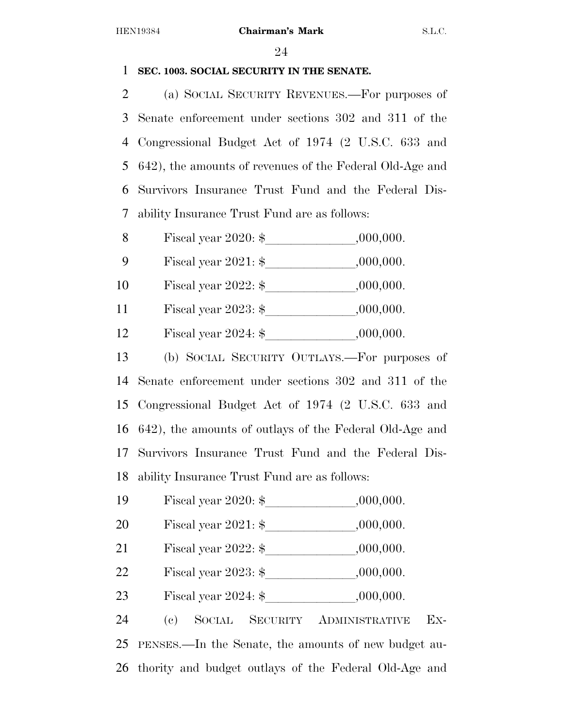### **SEC. 1003. SOCIAL SECURITY IN THE SENATE.**

 (a) SOCIAL SECURITY REVENUES.—For purposes of Senate enforcement under sections 302 and 311 of the Congressional Budget Act of 1974 (2 U.S.C. 633 and 642), the amounts of revenues of the Federal Old-Age and Survivors Insurance Trust Fund and the Federal Dis-ability Insurance Trust Fund are as follows:

| Fiscal year 2020: $\$ | ,000,000. |  |
|-----------------------|-----------|--|
|                       |           |  |

9 Fiscal year 2021: \$ 6,000,000.

10 Fiscal year  $2022:$  \$  $000,000$ .

11 Fiscal year  $2023:$  \$  $0.000,000$ .

12 Fiscal year  $2024:$  \$  $0.000,000$ .

 (b) SOCIAL SECURITY OUTLAYS.—For purposes of Senate enforcement under sections 302 and 311 of the Congressional Budget Act of 1974 (2 U.S.C. 633 and 642), the amounts of outlays of the Federal Old-Age and Survivors Insurance Trust Fund and the Federal Dis-ability Insurance Trust Fund are as follows:

19 Fiscal year  $2020:$  \$  $,000,000$ .

- 20 Fiscal year  $2021:$  \$  $0.000,000$ .
- 21 Fiscal year  $2022:$  \$  $0.000,000$ .
- Fiscal year 2023: \$lllllll,000,000.
- 23 Fiscal year  $2024:$  \$  $0.000,000$ .

 (c) SOCIAL SECURITY ADMINISTRATIVE EX- PENSES.—In the Senate, the amounts of new budget au-thority and budget outlays of the Federal Old-Age and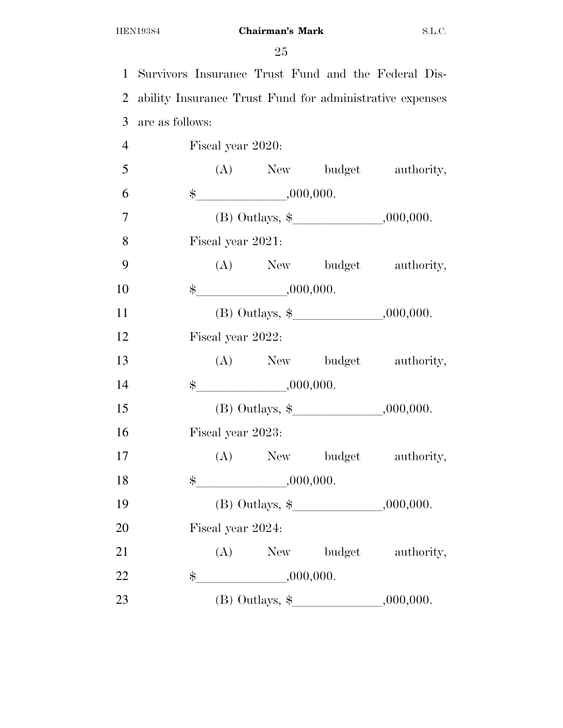Survivors Insurance Trust Fund and the Federal Dis- ability Insurance Trust Fund for administrative expenses are as follows:

| $\overline{4}$ | Fiscal year 2020:       |                         |                                            |                           |  |
|----------------|-------------------------|-------------------------|--------------------------------------------|---------------------------|--|
| 5              |                         |                         |                                            | (A) New budget authority, |  |
| 6              |                         | $\frac{1}{2}$ .000,000. |                                            |                           |  |
| $\overline{7}$ |                         |                         | (B) Outlays, $\frac{1}{2}$ , , , .000,000. |                           |  |
| 8              | Fiscal year 2021:       |                         |                                            |                           |  |
| 9              |                         |                         |                                            | (A) New budget authority, |  |
| 10             |                         | $\frac{1}{2}$ .000,000. |                                            |                           |  |
| 11             |                         |                         | (B) Outlays, $\frac{1}{2}$ , , , .000,000. |                           |  |
| 12             | Fiscal year 2022:       |                         |                                            |                           |  |
| 13             |                         |                         |                                            | (A) New budget authority, |  |
| 14             | $\frac{1}{2}$ .000,000. |                         |                                            |                           |  |
| 15             |                         |                         | (B) Outlays, $\frac{1}{2}$ , , , .000,000. |                           |  |
| 16             | Fiscal year 2023:       |                         |                                            |                           |  |
| 17             |                         |                         |                                            | (A) New budget authority, |  |
| 18             |                         | $\frac{1}{2}$ ,000,000. |                                            |                           |  |
| 19             |                         |                         | (B) Outlays, $\frac{1}{2}$ , , , .000,000. |                           |  |
| 20             | Fiscal year 2024:       |                         |                                            |                           |  |
| 21             |                         |                         |                                            | (A) New budget authority, |  |
| 22             | $\frac{1}{2}$ .000,000. |                         |                                            |                           |  |
| 23             |                         |                         | (B) Outlays, $\frac{1}{2}$ , , , .000,000. |                           |  |
|                |                         |                         |                                            |                           |  |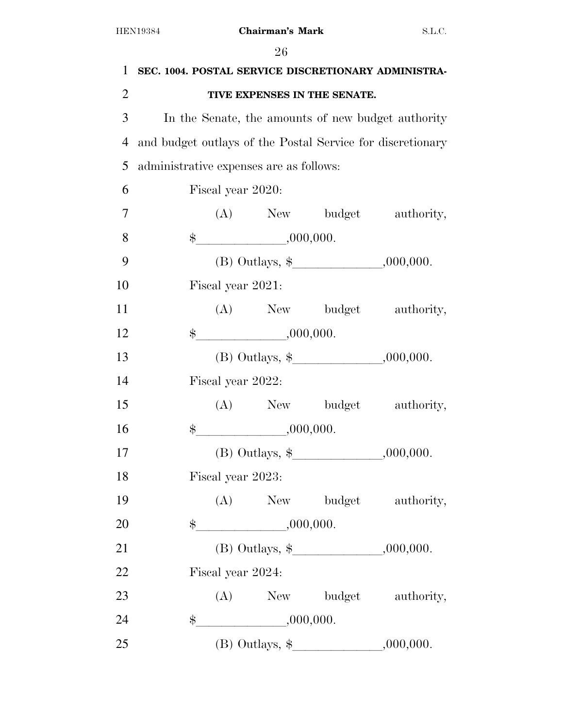|               | TIVE EXPENSES IN THE SENATE.                                                                          |                                                                                                                                                                                                                                                                                                                                                                                                                                                                                                                                                                                                                                                    |
|---------------|-------------------------------------------------------------------------------------------------------|----------------------------------------------------------------------------------------------------------------------------------------------------------------------------------------------------------------------------------------------------------------------------------------------------------------------------------------------------------------------------------------------------------------------------------------------------------------------------------------------------------------------------------------------------------------------------------------------------------------------------------------------------|
|               |                                                                                                       |                                                                                                                                                                                                                                                                                                                                                                                                                                                                                                                                                                                                                                                    |
|               |                                                                                                       |                                                                                                                                                                                                                                                                                                                                                                                                                                                                                                                                                                                                                                                    |
|               |                                                                                                       |                                                                                                                                                                                                                                                                                                                                                                                                                                                                                                                                                                                                                                                    |
|               |                                                                                                       |                                                                                                                                                                                                                                                                                                                                                                                                                                                                                                                                                                                                                                                    |
|               |                                                                                                       |                                                                                                                                                                                                                                                                                                                                                                                                                                                                                                                                                                                                                                                    |
|               |                                                                                                       |                                                                                                                                                                                                                                                                                                                                                                                                                                                                                                                                                                                                                                                    |
|               |                                                                                                       |                                                                                                                                                                                                                                                                                                                                                                                                                                                                                                                                                                                                                                                    |
|               |                                                                                                       |                                                                                                                                                                                                                                                                                                                                                                                                                                                                                                                                                                                                                                                    |
|               |                                                                                                       |                                                                                                                                                                                                                                                                                                                                                                                                                                                                                                                                                                                                                                                    |
|               |                                                                                                       |                                                                                                                                                                                                                                                                                                                                                                                                                                                                                                                                                                                                                                                    |
|               |                                                                                                       |                                                                                                                                                                                                                                                                                                                                                                                                                                                                                                                                                                                                                                                    |
|               |                                                                                                       |                                                                                                                                                                                                                                                                                                                                                                                                                                                                                                                                                                                                                                                    |
|               |                                                                                                       |                                                                                                                                                                                                                                                                                                                                                                                                                                                                                                                                                                                                                                                    |
|               |                                                                                                       |                                                                                                                                                                                                                                                                                                                                                                                                                                                                                                                                                                                                                                                    |
|               |                                                                                                       |                                                                                                                                                                                                                                                                                                                                                                                                                                                                                                                                                                                                                                                    |
|               |                                                                                                       |                                                                                                                                                                                                                                                                                                                                                                                                                                                                                                                                                                                                                                                    |
|               |                                                                                                       |                                                                                                                                                                                                                                                                                                                                                                                                                                                                                                                                                                                                                                                    |
| $\$\$         |                                                                                                       |                                                                                                                                                                                                                                                                                                                                                                                                                                                                                                                                                                                                                                                    |
|               |                                                                                                       |                                                                                                                                                                                                                                                                                                                                                                                                                                                                                                                                                                                                                                                    |
|               |                                                                                                       |                                                                                                                                                                                                                                                                                                                                                                                                                                                                                                                                                                                                                                                    |
|               |                                                                                                       |                                                                                                                                                                                                                                                                                                                                                                                                                                                                                                                                                                                                                                                    |
| $\frac{1}{2}$ |                                                                                                       |                                                                                                                                                                                                                                                                                                                                                                                                                                                                                                                                                                                                                                                    |
|               |                                                                                                       |                                                                                                                                                                                                                                                                                                                                                                                                                                                                                                                                                                                                                                                    |
|               | Fiscal year 2020:<br>Fiscal year 2021:<br>Fiscal year 2022:<br>Fiscal year 2023:<br>Fiscal year 2024: | In the Senate, the amounts of new budget authority<br>and budget outlays of the Postal Service for discretionary<br>administrative expenses are as follows:<br>(A) New budget authority,<br>$\frac{1}{2}$ .000,000.<br>(B) Outlays, $\frac{1}{2}$ , 000,000.<br>(A) New budget authority,<br>$\frac{1}{2}$ ,000,000.<br>(B) Outlays, $\frac{1}{2}$ , 000,000.<br>(A) New budget authority,<br>$\frac{1}{2}$ .000,000.<br>(B) Outlays, $\frac{1}{2}$ , , .000,000.<br>(A) New budget authority,<br>,000,000.<br>(B) Outlays, $\frac{1}{2}$ , 000,000.<br>(A) New budget authority,<br>$\frac{1}{1000,000}$<br>(B) Outlays, $\frac{1}{2}$ , 000,000. |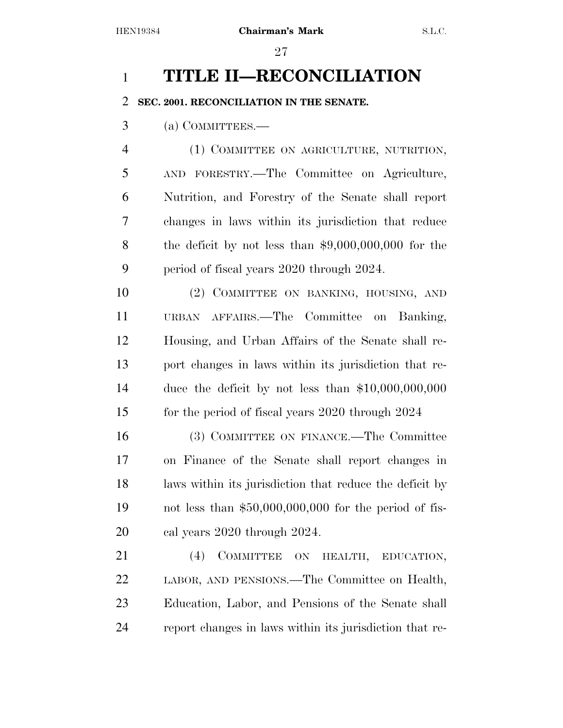## **TITLE II—RECONCILIATION**

### **SEC. 2001. RECONCILIATION IN THE SENATE.**

(a) COMMITTEES.—

 (1) COMMITTEE ON AGRICULTURE, NUTRITION, AND FORESTRY.—The Committee on Agriculture, Nutrition, and Forestry of the Senate shall report changes in laws within its jurisdiction that reduce the deficit by not less than \$9,000,000,000 for the period of fiscal years 2020 through 2024.

10 (2) COMMITTEE ON BANKING, HOUSING, AND URBAN AFFAIRS.—The Committee on Banking, Housing, and Urban Affairs of the Senate shall re- port changes in laws within its jurisdiction that re- duce the deficit by not less than \$10,000,000,000 15 for the period of fiscal years 2020 through 2024

 (3) COMMITTEE ON FINANCE.—The Committee on Finance of the Senate shall report changes in laws within its jurisdiction that reduce the deficit by not less than \$50,000,000,000 for the period of fis-cal years 2020 through 2024.

21 (4) COMMITTEE ON HEALTH, EDUCATION, LABOR, AND PENSIONS.—The Committee on Health, Education, Labor, and Pensions of the Senate shall report changes in laws within its jurisdiction that re-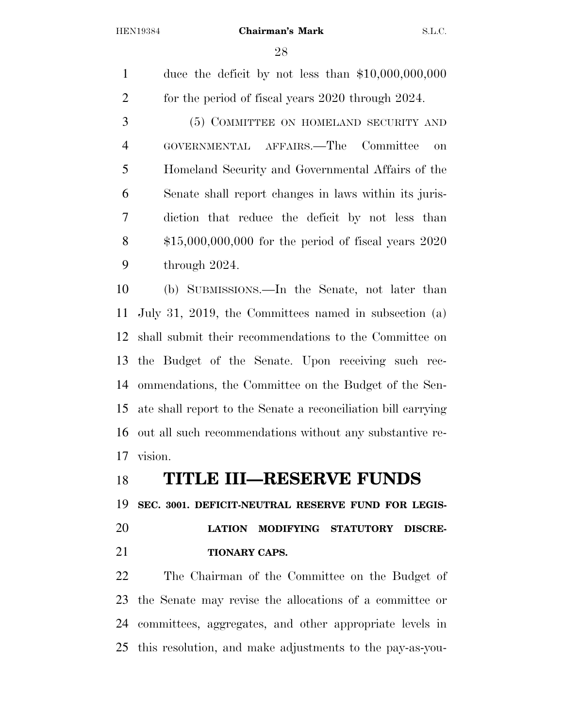duce the deficit by not less than \$10,000,000,000 2 for the period of fiscal years 2020 through 2024.

 (5) COMMITTEE ON HOMELAND SECURITY AND GOVERNMENTAL AFFAIRS.—The Committee on Homeland Security and Governmental Affairs of the Senate shall report changes in laws within its juris- diction that reduce the deficit by not less than \$15,000,000,000 for the period of fiscal years 2020 through 2024.

 (b) SUBMISSIONS.—In the Senate, not later than July 31, 2019, the Committees named in subsection (a) shall submit their recommendations to the Committee on the Budget of the Senate. Upon receiving such rec- ommendations, the Committee on the Budget of the Sen- ate shall report to the Senate a reconciliation bill carrying out all such recommendations without any substantive re-vision.

### **TITLE III—RESERVE FUNDS**

**SEC. 3001. DEFICIT-NEUTRAL RESERVE FUND FOR LEGIS-**

 **LATION MODIFYING STATUTORY DISCRE-TIONARY CAPS.** 

 The Chairman of the Committee on the Budget of the Senate may revise the allocations of a committee or committees, aggregates, and other appropriate levels in this resolution, and make adjustments to the pay-as-you-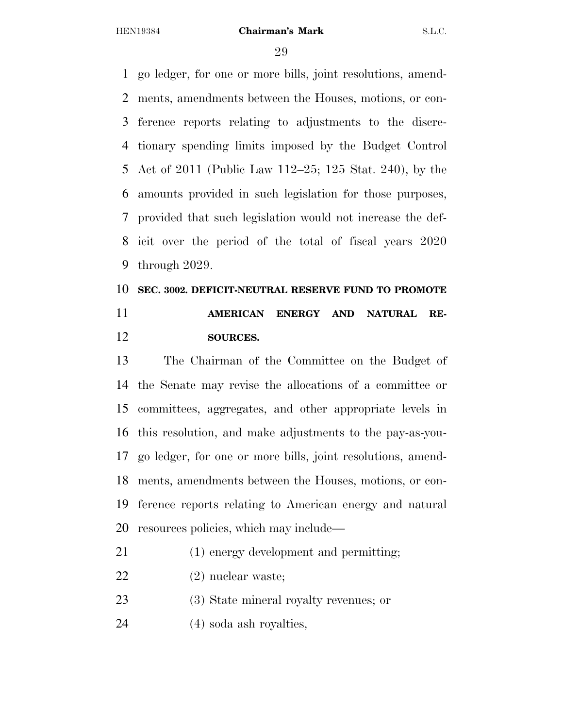go ledger, for one or more bills, joint resolutions, amend- ments, amendments between the Houses, motions, or con- ference reports relating to adjustments to the discre- tionary spending limits imposed by the Budget Control Act of 2011 (Public Law 112–25; 125 Stat. 240), by the amounts provided in such legislation for those purposes, provided that such legislation would not increase the def- icit over the period of the total of fiscal years 2020 through 2029.

## **SEC. 3002. DEFICIT-NEUTRAL RESERVE FUND TO PROMOTE AMERICAN ENERGY AND NATURAL RE-SOURCES.**

 The Chairman of the Committee on the Budget of the Senate may revise the allocations of a committee or committees, aggregates, and other appropriate levels in this resolution, and make adjustments to the pay-as-you- go ledger, for one or more bills, joint resolutions, amend- ments, amendments between the Houses, motions, or con- ference reports relating to American energy and natural resources policies, which may include—

- (1) energy development and permitting;
- (2) nuclear waste;
- (3) State mineral royalty revenues; or
- (4) soda ash royalties,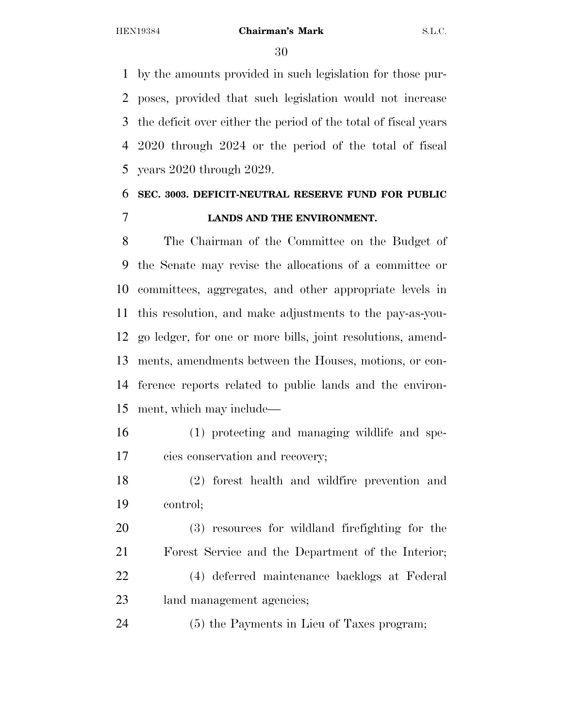by the amounts provided in such legislation for those pur- poses, provided that such legislation would not increase the deficit over either the period of the total of fiscal years 2020 through 2024 or the period of the total of fiscal years 2020 through 2029.

### **SEC. 3003. DEFICIT-NEUTRAL RESERVE FUND FOR PUBLIC LANDS AND THE ENVIRONMENT.**

 The Chairman of the Committee on the Budget of the Senate may revise the allocations of a committee or committees, aggregates, and other appropriate levels in this resolution, and make adjustments to the pay-as-you- go ledger, for one or more bills, joint resolutions, amend- ments, amendments between the Houses, motions, or con- ference reports related to public lands and the environ-ment, which may include—

- (1) protecting and managing wildlife and spe-cies conservation and recovery;
- (2) forest health and wildfire prevention and control;

 (3) resources for wildland firefighting for the Forest Service and the Department of the Interior; (4) deferred maintenance backlogs at Federal land management agencies;

(5) the Payments in Lieu of Taxes program;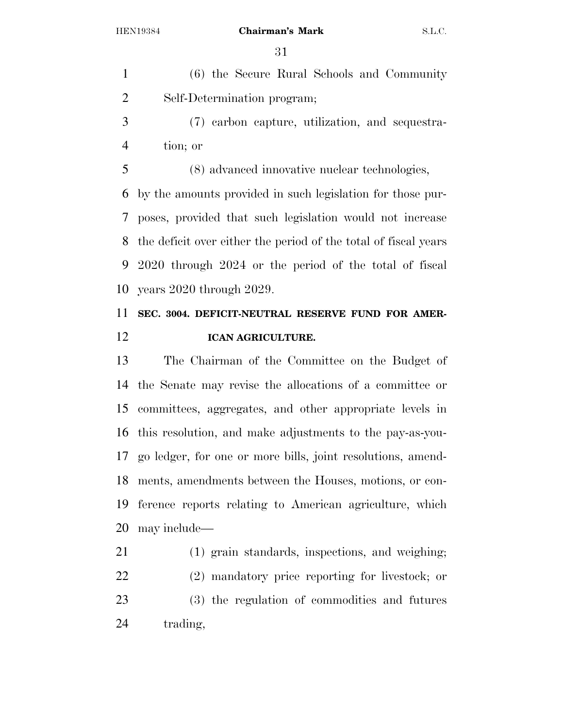(6) the Secure Rural Schools and Community Self-Determination program;

 (7) carbon capture, utilization, and sequestra-tion; or

 (8) advanced innovative nuclear technologies, by the amounts provided in such legislation for those pur- poses, provided that such legislation would not increase the deficit over either the period of the total of fiscal years 2020 through 2024 or the period of the total of fiscal years 2020 through 2029.

### **SEC. 3004. DEFICIT-NEUTRAL RESERVE FUND FOR AMER-ICAN AGRICULTURE.**

 The Chairman of the Committee on the Budget of the Senate may revise the allocations of a committee or committees, aggregates, and other appropriate levels in this resolution, and make adjustments to the pay-as-you- go ledger, for one or more bills, joint resolutions, amend- ments, amendments between the Houses, motions, or con- ference reports relating to American agriculture, which may include—

 (1) grain standards, inspections, and weighing; (2) mandatory price reporting for livestock; or (3) the regulation of commodities and futures trading,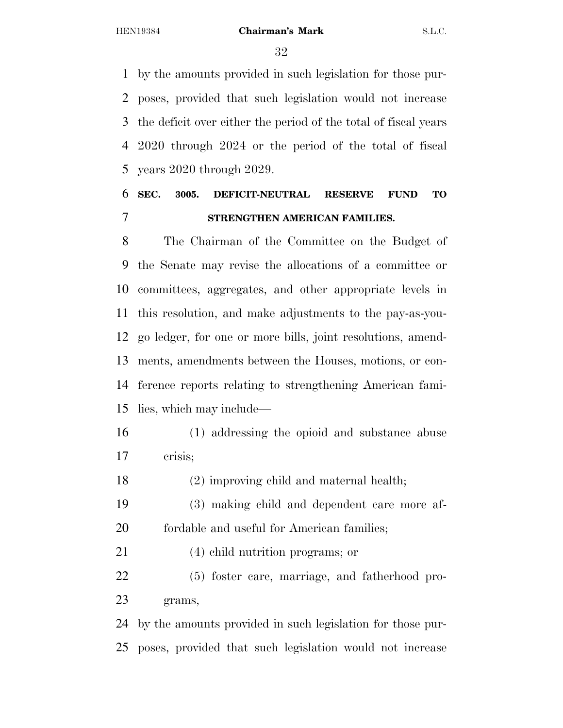by the amounts provided in such legislation for those pur- poses, provided that such legislation would not increase the deficit over either the period of the total of fiscal years 2020 through 2024 or the period of the total of fiscal years 2020 through 2029.

### **SEC. 3005. DEFICIT-NEUTRAL RESERVE FUND TO STRENGTHEN AMERICAN FAMILIES.**

 The Chairman of the Committee on the Budget of the Senate may revise the allocations of a committee or committees, aggregates, and other appropriate levels in this resolution, and make adjustments to the pay-as-you- go ledger, for one or more bills, joint resolutions, amend- ments, amendments between the Houses, motions, or con- ference reports relating to strengthening American fami-lies, which may include—

- (1) addressing the opioid and substance abuse crisis;
- (2) improving child and maternal health;
- (3) making child and dependent care more af-fordable and useful for American families;

(4) child nutrition programs; or

 (5) foster care, marriage, and fatherhood pro-grams,

 by the amounts provided in such legislation for those pur-poses, provided that such legislation would not increase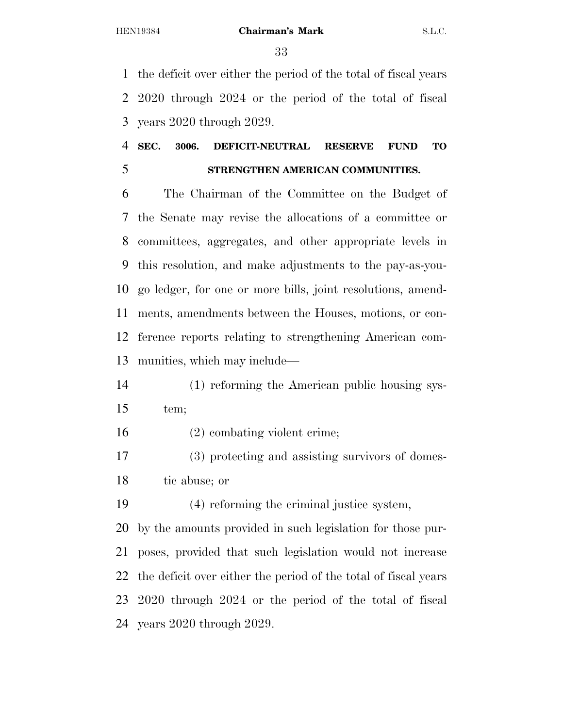the deficit over either the period of the total of fiscal years 2020 through 2024 or the period of the total of fiscal years 2020 through 2029.

### **SEC. 3006. DEFICIT-NEUTRAL RESERVE FUND TO STRENGTHEN AMERICAN COMMUNITIES.**

 The Chairman of the Committee on the Budget of the Senate may revise the allocations of a committee or committees, aggregates, and other appropriate levels in this resolution, and make adjustments to the pay-as-you- go ledger, for one or more bills, joint resolutions, amend- ments, amendments between the Houses, motions, or con- ference reports relating to strengthening American com-munities, which may include—

 (1) reforming the American public housing sys-tem;

(2) combating violent crime;

 (3) protecting and assisting survivors of domes-tic abuse; or

(4) reforming the criminal justice system,

 by the amounts provided in such legislation for those pur- poses, provided that such legislation would not increase the deficit over either the period of the total of fiscal years 2020 through 2024 or the period of the total of fiscal years 2020 through 2029.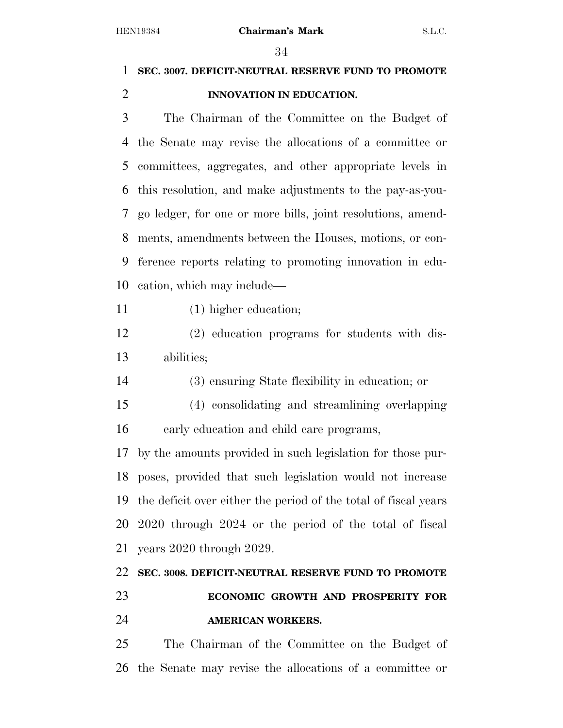### **SEC. 3007. DEFICIT-NEUTRAL RESERVE FUND TO PROMOTE INNOVATION IN EDUCATION.**

 The Chairman of the Committee on the Budget of the Senate may revise the allocations of a committee or committees, aggregates, and other appropriate levels in this resolution, and make adjustments to the pay-as-you- go ledger, for one or more bills, joint resolutions, amend- ments, amendments between the Houses, motions, or con- ference reports relating to promoting innovation in edu-cation, which may include—

11 (1) higher education;

 (2) education programs for students with dis-abilities;

(3) ensuring State flexibility in education; or

 (4) consolidating and streamlining overlapping early education and child care programs,

 by the amounts provided in such legislation for those pur- poses, provided that such legislation would not increase the deficit over either the period of the total of fiscal years 2020 through 2024 or the period of the total of fiscal years 2020 through 2029.

## **SEC. 3008. DEFICIT-NEUTRAL RESERVE FUND TO PROMOTE ECONOMIC GROWTH AND PROSPERITY FOR AMERICAN WORKERS.**

 The Chairman of the Committee on the Budget of the Senate may revise the allocations of a committee or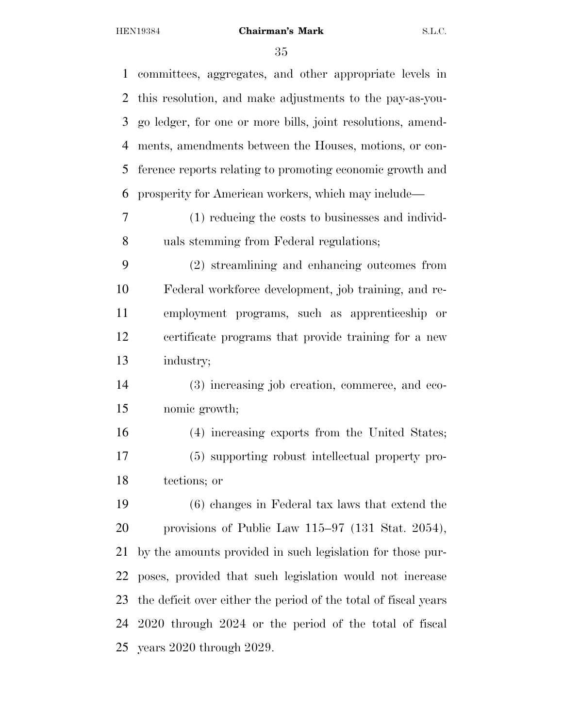| 1  | committees, aggregates, and other appropriate levels in         |
|----|-----------------------------------------------------------------|
| 2  | this resolution, and make adjustments to the pay-as-you-        |
| 3  | go ledger, for one or more bills, joint resolutions, amend-     |
| 4  | ments, amendments between the Houses, motions, or con-          |
| 5  | ference reports relating to promoting economic growth and       |
| 6  | prosperity for American workers, which may include—             |
| 7  | (1) reducing the costs to businesses and individ-               |
| 8  | uals stemming from Federal regulations;                         |
| 9  | (2) streamlining and enhancing outcomes from                    |
| 10 | Federal workforce development, job training, and re-            |
| 11 | employment programs, such as apprenticeship or                  |
| 12 | certificate programs that provide training for a new            |
| 13 | industry;                                                       |
| 14 | (3) increasing job creation, commerce, and eco-                 |
| 15 | nomic growth;                                                   |
| 16 | (4) increasing exports from the United States;                  |
| 17 | (5) supporting robust intellectual property pro-                |
| 18 | tections; or                                                    |
| 19 | (6) changes in Federal tax laws that extend the                 |
| 20 | provisions of Public Law $115-97$ (131 Stat. 2054),             |
| 21 | by the amounts provided in such legislation for those pur-      |
| 22 | poses, provided that such legislation would not increase        |
| 23 | the deficit over either the period of the total of fiscal years |
| 24 | 2020 through 2024 or the period of the total of fiscal          |
| 25 | years $2020$ through $2029$ .                                   |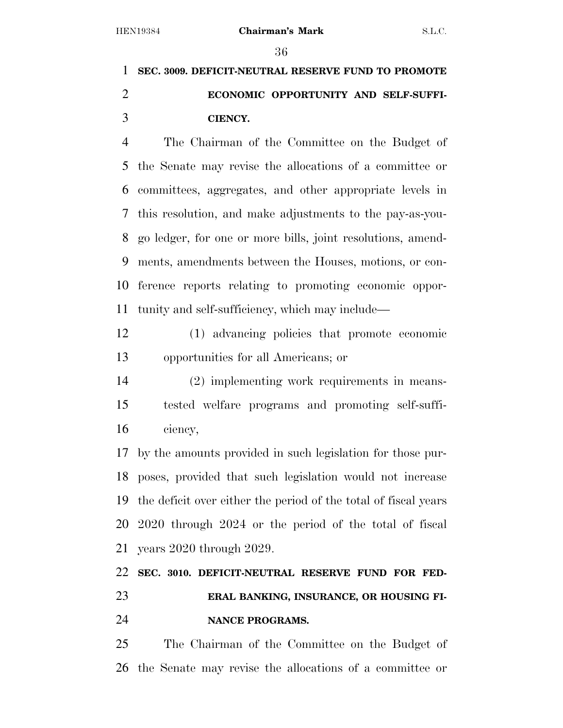## **SEC. 3009. DEFICIT-NEUTRAL RESERVE FUND TO PROMOTE ECONOMIC OPPORTUNITY AND SELF-SUFFI-CIENCY.**

 The Chairman of the Committee on the Budget of the Senate may revise the allocations of a committee or committees, aggregates, and other appropriate levels in this resolution, and make adjustments to the pay-as-you- go ledger, for one or more bills, joint resolutions, amend- ments, amendments between the Houses, motions, or con- ference reports relating to promoting economic oppor-tunity and self-sufficiency, which may include—

 (1) advancing policies that promote economic opportunities for all Americans; or

 (2) implementing work requirements in means- tested welfare programs and promoting self-suffi-ciency,

 by the amounts provided in such legislation for those pur- poses, provided that such legislation would not increase the deficit over either the period of the total of fiscal years 2020 through 2024 or the period of the total of fiscal years 2020 through 2029.

### **SEC. 3010. DEFICIT-NEUTRAL RESERVE FUND FOR FED- ERAL BANKING, INSURANCE, OR HOUSING FI-NANCE PROGRAMS.**

 The Chairman of the Committee on the Budget of the Senate may revise the allocations of a committee or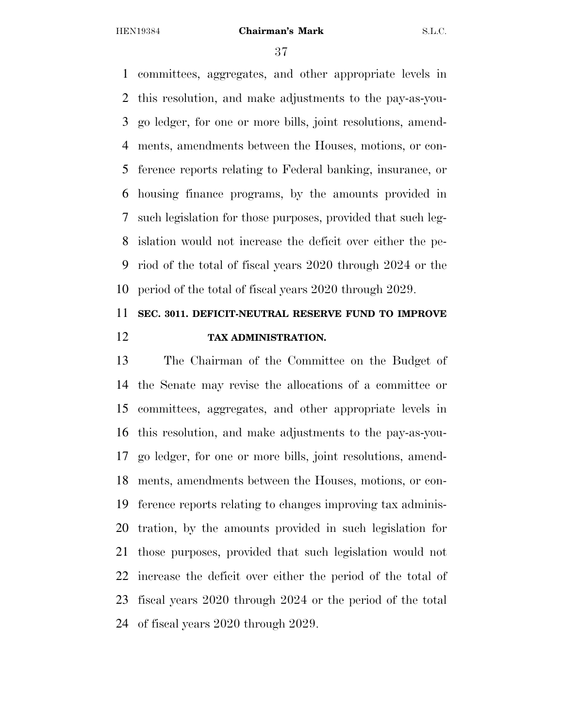committees, aggregates, and other appropriate levels in this resolution, and make adjustments to the pay-as-you- go ledger, for one or more bills, joint resolutions, amend- ments, amendments between the Houses, motions, or con- ference reports relating to Federal banking, insurance, or housing finance programs, by the amounts provided in such legislation for those purposes, provided that such leg- islation would not increase the deficit over either the pe- riod of the total of fiscal years 2020 through 2024 or the period of the total of fiscal years 2020 through 2029.

### **SEC. 3011. DEFICIT-NEUTRAL RESERVE FUND TO IMPROVE TAX ADMINISTRATION.**

 The Chairman of the Committee on the Budget of the Senate may revise the allocations of a committee or committees, aggregates, and other appropriate levels in this resolution, and make adjustments to the pay-as-you- go ledger, for one or more bills, joint resolutions, amend- ments, amendments between the Houses, motions, or con- ference reports relating to changes improving tax adminis- tration, by the amounts provided in such legislation for those purposes, provided that such legislation would not increase the deficit over either the period of the total of fiscal years 2020 through 2024 or the period of the total of fiscal years 2020 through 2029.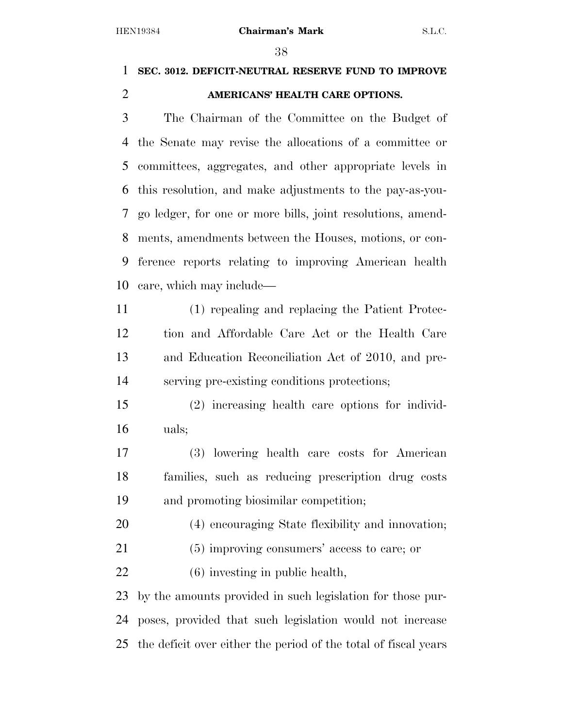### **SEC. 3012. DEFICIT-NEUTRAL RESERVE FUND TO IMPROVE AMERICANS' HEALTH CARE OPTIONS.**

 The Chairman of the Committee on the Budget of the Senate may revise the allocations of a committee or committees, aggregates, and other appropriate levels in this resolution, and make adjustments to the pay-as-you- go ledger, for one or more bills, joint resolutions, amend- ments, amendments between the Houses, motions, or con- ference reports relating to improving American health care, which may include—

 (1) repealing and replacing the Patient Protec- tion and Affordable Care Act or the Health Care and Education Reconciliation Act of 2010, and pre-serving pre-existing conditions protections;

 (2) increasing health care options for individ-uals;

 (3) lowering health care costs for American families, such as reducing prescription drug costs and promoting biosimilar competition;

(4) encouraging State flexibility and innovation;

- (5) improving consumers' access to care; or
- (6) investing in public health,

 by the amounts provided in such legislation for those pur- poses, provided that such legislation would not increase the deficit over either the period of the total of fiscal years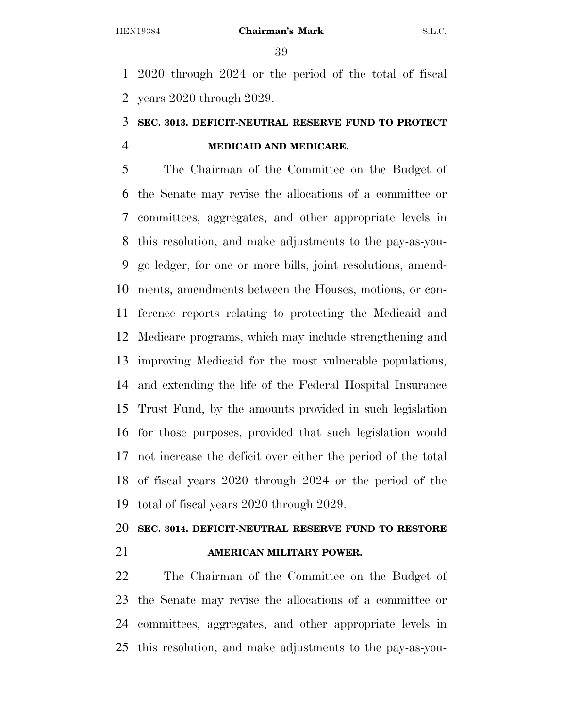2020 through 2024 or the period of the total of fiscal years 2020 through 2029.

### **SEC. 3013. DEFICIT-NEUTRAL RESERVE FUND TO PROTECT MEDICAID AND MEDICARE.**

 The Chairman of the Committee on the Budget of the Senate may revise the allocations of a committee or committees, aggregates, and other appropriate levels in this resolution, and make adjustments to the pay-as-you- go ledger, for one or more bills, joint resolutions, amend- ments, amendments between the Houses, motions, or con- ference reports relating to protecting the Medicaid and Medicare programs, which may include strengthening and improving Medicaid for the most vulnerable populations, and extending the life of the Federal Hospital Insurance Trust Fund, by the amounts provided in such legislation for those purposes, provided that such legislation would not increase the deficit over either the period of the total of fiscal years 2020 through 2024 or the period of the total of fiscal years 2020 through 2029.

### **SEC. 3014. DEFICIT-NEUTRAL RESERVE FUND TO RESTORE**

### **AMERICAN MILITARY POWER.**

 The Chairman of the Committee on the Budget of the Senate may revise the allocations of a committee or committees, aggregates, and other appropriate levels in this resolution, and make adjustments to the pay-as-you-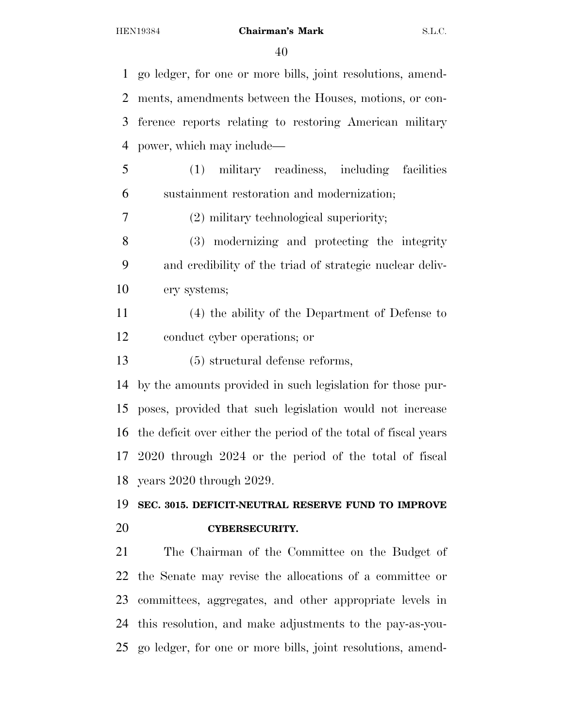go ledger, for one or more bills, joint resolutions, amend- ments, amendments between the Houses, motions, or con- ference reports relating to restoring American military power, which may include— (1) military readiness, including facilities sustainment restoration and modernization; (2) military technological superiority; (3) modernizing and protecting the integrity and credibility of the triad of strategic nuclear deliv- ery systems; (4) the ability of the Department of Defense to conduct cyber operations; or (5) structural defense reforms, by the amounts provided in such legislation for those pur- poses, provided that such legislation would not increase the deficit over either the period of the total of fiscal years 2020 through 2024 or the period of the total of fiscal years 2020 through 2029. **SEC. 3015. DEFICIT-NEUTRAL RESERVE FUND TO IMPROVE CYBERSECURITY.**  The Chairman of the Committee on the Budget of the Senate may revise the allocations of a committee or committees, aggregates, and other appropriate levels in this resolution, and make adjustments to the pay-as-you-go ledger, for one or more bills, joint resolutions, amend-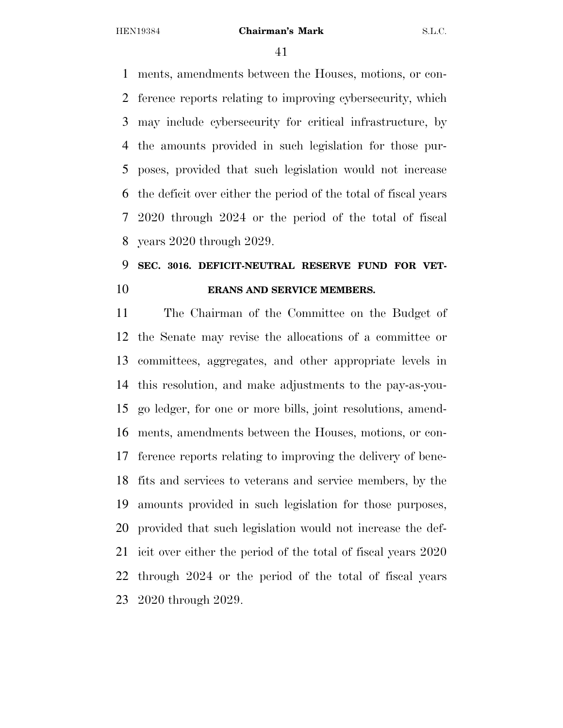ments, amendments between the Houses, motions, or con- ference reports relating to improving cybersecurity, which may include cybersecurity for critical infrastructure, by the amounts provided in such legislation for those pur- poses, provided that such legislation would not increase the deficit over either the period of the total of fiscal years 2020 through 2024 or the period of the total of fiscal years 2020 through 2029.

### **SEC. 3016. DEFICIT-NEUTRAL RESERVE FUND FOR VET-ERANS AND SERVICE MEMBERS.**

 The Chairman of the Committee on the Budget of the Senate may revise the allocations of a committee or committees, aggregates, and other appropriate levels in this resolution, and make adjustments to the pay-as-you- go ledger, for one or more bills, joint resolutions, amend- ments, amendments between the Houses, motions, or con- ference reports relating to improving the delivery of bene- fits and services to veterans and service members, by the amounts provided in such legislation for those purposes, provided that such legislation would not increase the def- icit over either the period of the total of fiscal years 2020 through 2024 or the period of the total of fiscal years 2020 through 2029.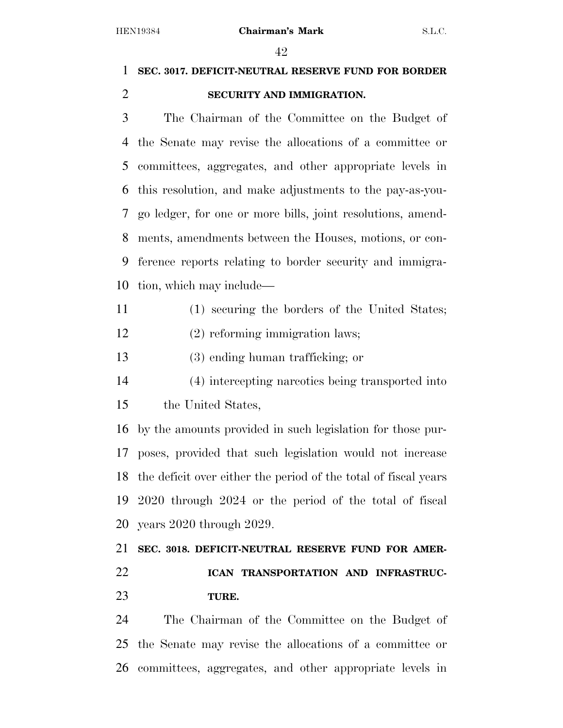### **SEC. 3017. DEFICIT-NEUTRAL RESERVE FUND FOR BORDER SECURITY AND IMMIGRATION.**

 The Chairman of the Committee on the Budget of the Senate may revise the allocations of a committee or committees, aggregates, and other appropriate levels in this resolution, and make adjustments to the pay-as-you- go ledger, for one or more bills, joint resolutions, amend- ments, amendments between the Houses, motions, or con- ference reports relating to border security and immigra-tion, which may include—

- (1) securing the borders of the United States;
- (2) reforming immigration laws;
- (3) ending human trafficking; or
- (4) intercepting narcotics being transported into the United States,

 by the amounts provided in such legislation for those pur- poses, provided that such legislation would not increase the deficit over either the period of the total of fiscal years 2020 through 2024 or the period of the total of fiscal years 2020 through 2029.

 **SEC. 3018. DEFICIT-NEUTRAL RESERVE FUND FOR AMER- ICAN TRANSPORTATION AND INFRASTRUC-TURE.** 

 The Chairman of the Committee on the Budget of the Senate may revise the allocations of a committee or committees, aggregates, and other appropriate levels in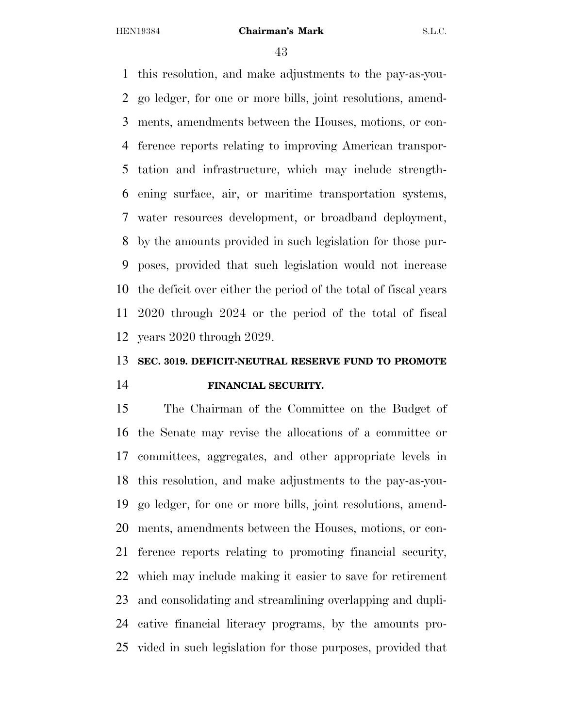this resolution, and make adjustments to the pay-as-you- go ledger, for one or more bills, joint resolutions, amend- ments, amendments between the Houses, motions, or con- ference reports relating to improving American transpor- tation and infrastructure, which may include strength- ening surface, air, or maritime transportation systems, water resources development, or broadband deployment, by the amounts provided in such legislation for those pur- poses, provided that such legislation would not increase the deficit over either the period of the total of fiscal years 2020 through 2024 or the period of the total of fiscal years 2020 through 2029.

### **SEC. 3019. DEFICIT-NEUTRAL RESERVE FUND TO PROMOTE FINANCIAL SECURITY.**

 The Chairman of the Committee on the Budget of the Senate may revise the allocations of a committee or committees, aggregates, and other appropriate levels in this resolution, and make adjustments to the pay-as-you- go ledger, for one or more bills, joint resolutions, amend- ments, amendments between the Houses, motions, or con- ference reports relating to promoting financial security, which may include making it easier to save for retirement and consolidating and streamlining overlapping and dupli- cative financial literacy programs, by the amounts pro-vided in such legislation for those purposes, provided that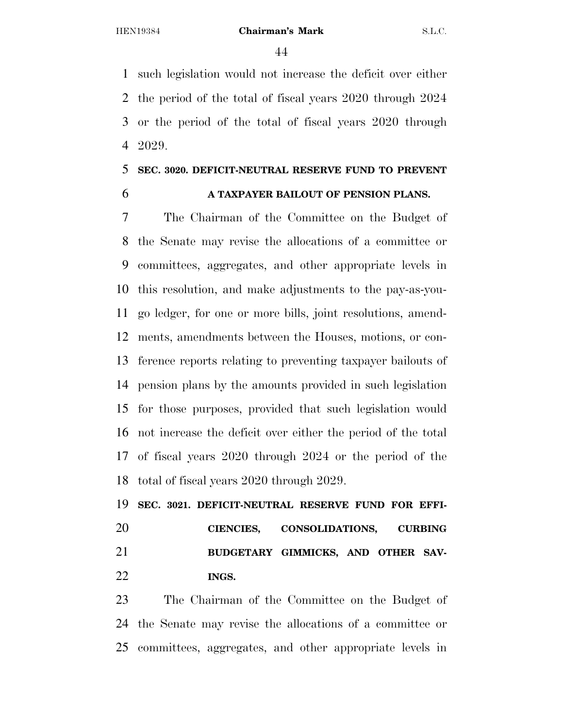such legislation would not increase the deficit over either the period of the total of fiscal years 2020 through 2024 or the period of the total of fiscal years 2020 through 2029.

### **SEC. 3020. DEFICIT-NEUTRAL RESERVE FUND TO PREVENT**

### **A TAXPAYER BAILOUT OF PENSION PLANS.**

 The Chairman of the Committee on the Budget of the Senate may revise the allocations of a committee or committees, aggregates, and other appropriate levels in this resolution, and make adjustments to the pay-as-you- go ledger, for one or more bills, joint resolutions, amend- ments, amendments between the Houses, motions, or con- ference reports relating to preventing taxpayer bailouts of pension plans by the amounts provided in such legislation for those purposes, provided that such legislation would not increase the deficit over either the period of the total of fiscal years 2020 through 2024 or the period of the total of fiscal years 2020 through 2029.

 **SEC. 3021. DEFICIT-NEUTRAL RESERVE FUND FOR EFFI- CIENCIES, CONSOLIDATIONS, CURBING BUDGETARY GIMMICKS, AND OTHER SAV-INGS.** 

 The Chairman of the Committee on the Budget of the Senate may revise the allocations of a committee or committees, aggregates, and other appropriate levels in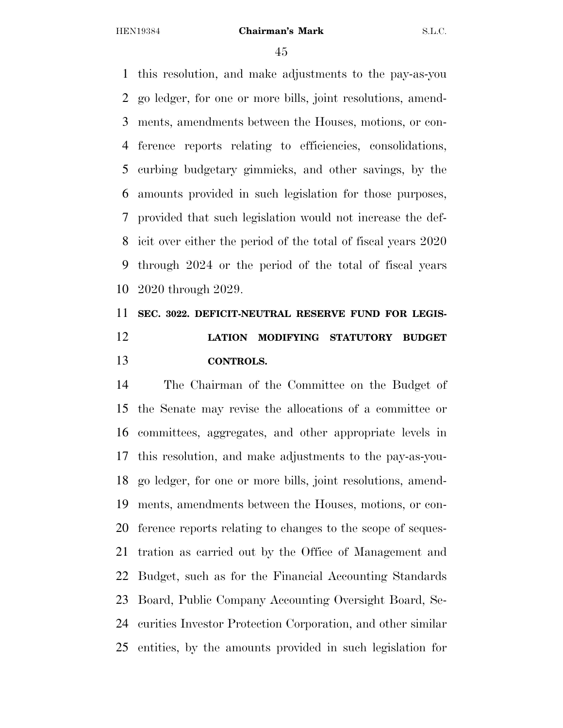this resolution, and make adjustments to the pay-as-you go ledger, for one or more bills, joint resolutions, amend- ments, amendments between the Houses, motions, or con- ference reports relating to efficiencies, consolidations, curbing budgetary gimmicks, and other savings, by the amounts provided in such legislation for those purposes, provided that such legislation would not increase the def- icit over either the period of the total of fiscal years 2020 through 2024 or the period of the total of fiscal years 2020 through 2029.

# **SEC. 3022. DEFICIT-NEUTRAL RESERVE FUND FOR LEGIS- LATION MODIFYING STATUTORY BUDGET CONTROLS.**

 The Chairman of the Committee on the Budget of the Senate may revise the allocations of a committee or committees, aggregates, and other appropriate levels in this resolution, and make adjustments to the pay-as-you- go ledger, for one or more bills, joint resolutions, amend- ments, amendments between the Houses, motions, or con- ference reports relating to changes to the scope of seques- tration as carried out by the Office of Management and Budget, such as for the Financial Accounting Standards Board, Public Company Accounting Oversight Board, Se- curities Investor Protection Corporation, and other similar entities, by the amounts provided in such legislation for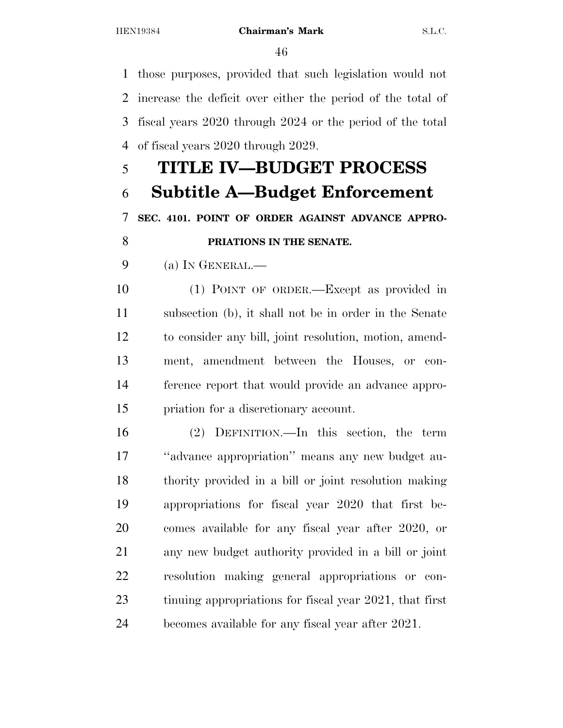those purposes, provided that such legislation would not increase the deficit over either the period of the total of fiscal years 2020 through 2024 or the period of the total of fiscal years 2020 through 2029. **TITLE IV—BUDGET PROCESS** 

# **Subtitle A—Budget Enforcement SEC. 4101. POINT OF ORDER AGAINST ADVANCE APPRO-PRIATIONS IN THE SENATE.**

(a) IN GENERAL.—

 (1) POINT OF ORDER.—Except as provided in subsection (b), it shall not be in order in the Senate to consider any bill, joint resolution, motion, amend- ment, amendment between the Houses, or con- ference report that would provide an advance appro-priation for a discretionary account.

 (2) DEFINITION.—In this section, the term ''advance appropriation'' means any new budget au- thority provided in a bill or joint resolution making appropriations for fiscal year 2020 that first be- comes available for any fiscal year after 2020, or any new budget authority provided in a bill or joint resolution making general appropriations or con-23 tinuing appropriations for fiscal year 2021, that first becomes available for any fiscal year after 2021.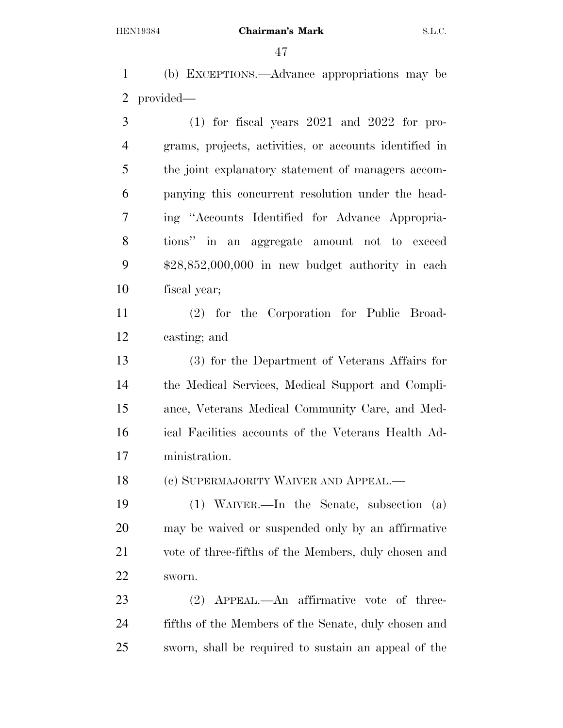(b) EXCEPTIONS.—Advance appropriations may be provided—

 (1) for fiscal years 2021 and 2022 for pro- grams, projects, activities, or accounts identified in the joint explanatory statement of managers accom- panying this concurrent resolution under the head- ing ''Accounts Identified for Advance Appropria- tions'' in an aggregate amount not to exceed \$28,852,000,000 in new budget authority in each fiscal year;

 (2) for the Corporation for Public Broad-casting; and

 (3) for the Department of Veterans Affairs for the Medical Services, Medical Support and Compli- ance, Veterans Medical Community Care, and Med- ical Facilities accounts of the Veterans Health Ad-ministration.

18 (c) SUPERMAJORITY WAIVER AND APPEAL.—

 (1) WAIVER.—In the Senate, subsection (a) may be waived or suspended only by an affirmative vote of three-fifths of the Members, duly chosen and sworn.

 (2) APPEAL.—An affirmative vote of three- fifths of the Members of the Senate, duly chosen and sworn, shall be required to sustain an appeal of the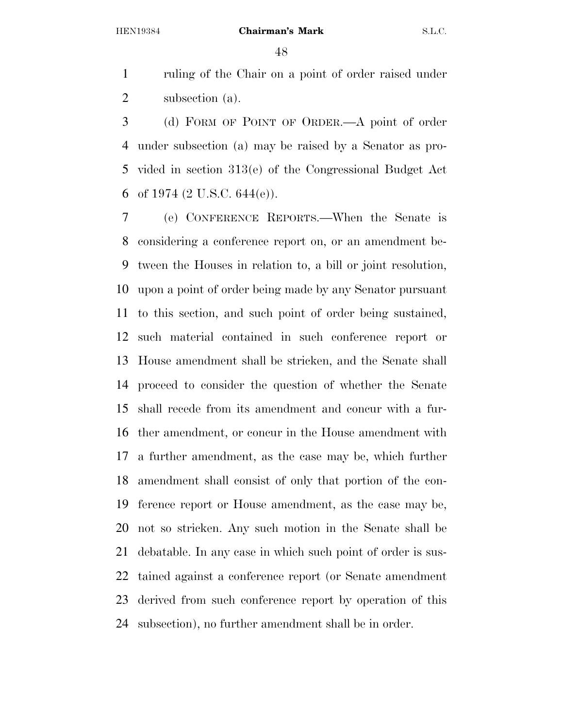ruling of the Chair on a point of order raised under subsection (a).

 (d) FORM OF POINT OF ORDER.—A point of order under subsection (a) may be raised by a Senator as pro- vided in section 313(e) of the Congressional Budget Act 6 of 1974 (2 U.S.C. 644(e)).

 (e) CONFERENCE REPORTS.—When the Senate is considering a conference report on, or an amendment be- tween the Houses in relation to, a bill or joint resolution, upon a point of order being made by any Senator pursuant to this section, and such point of order being sustained, such material contained in such conference report or House amendment shall be stricken, and the Senate shall proceed to consider the question of whether the Senate shall recede from its amendment and concur with a fur- ther amendment, or concur in the House amendment with a further amendment, as the case may be, which further amendment shall consist of only that portion of the con- ference report or House amendment, as the case may be, not so stricken. Any such motion in the Senate shall be debatable. In any case in which such point of order is sus- tained against a conference report (or Senate amendment derived from such conference report by operation of this subsection), no further amendment shall be in order.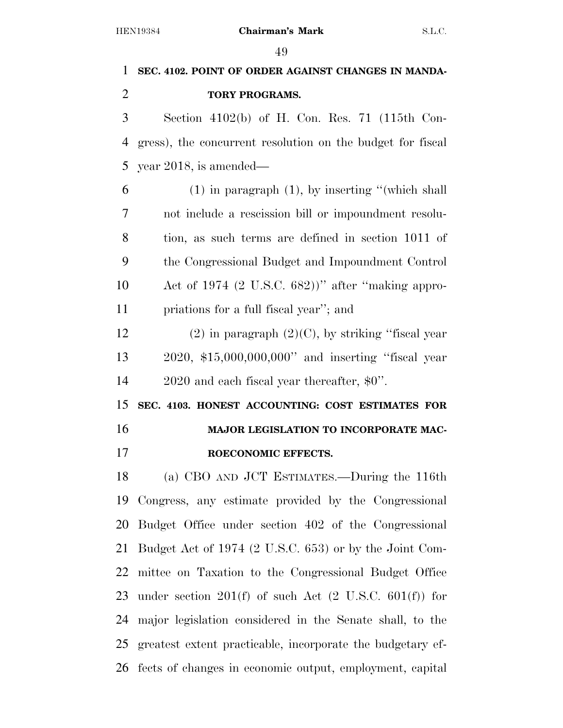# **SEC. 4102. POINT OF ORDER AGAINST CHANGES IN MANDA- TORY PROGRAMS.**  Section 4102(b) of H. Con. Res. 71 (115th Con- gress), the concurrent resolution on the budget for fiscal year 2018, is amended— (1) in paragraph (1), by inserting ''(which shall not include a rescission bill or impoundment resolu- tion, as such terms are defined in section 1011 of the Congressional Budget and Impoundment Control Act of 1974 (2 U.S.C. 682))'' after ''making appro- priations for a full fiscal year''; and 12 (2) in paragraph  $(2)(C)$ , by striking "fiscal year 2020, \$15,000,000,000'' and inserting ''fiscal year 2020 and each fiscal year thereafter, \$0''. **SEC. 4103. HONEST ACCOUNTING: COST ESTIMATES FOR MAJOR LEGISLATION TO INCORPORATE MAC- ROECONOMIC EFFECTS.**  (a) CBO AND JCT ESTIMATES.—During the 116th Congress, any estimate provided by the Congressional Budget Office under section 402 of the Congressional Budget Act of 1974 (2 U.S.C. 653) or by the Joint Com- mittee on Taxation to the Congressional Budget Office under section 201(f) of such Act (2 U.S.C. 601(f)) for major legislation considered in the Senate shall, to the

 greatest extent practicable, incorporate the budgetary ef-fects of changes in economic output, employment, capital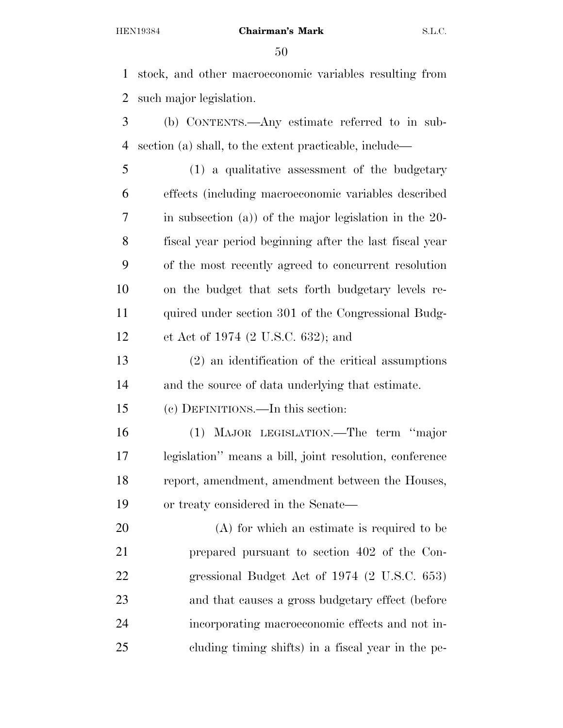stock, and other macroeconomic variables resulting from such major legislation.

 (b) CONTENTS.—Any estimate referred to in sub-section (a) shall, to the extent practicable, include—

 (1) a qualitative assessment of the budgetary effects (including macroeconomic variables described in subsection (a)) of the major legislation in the 20- fiscal year period beginning after the last fiscal year of the most recently agreed to concurrent resolution on the budget that sets forth budgetary levels re- quired under section 301 of the Congressional Budg-et Act of 1974 (2 U.S.C. 632); and

 (2) an identification of the critical assumptions and the source of data underlying that estimate.

(c) DEFINITIONS.—In this section:

 (1) MAJOR LEGISLATION.—The term ''major legislation'' means a bill, joint resolution, conference report, amendment, amendment between the Houses, or treaty considered in the Senate—

 (A) for which an estimate is required to be prepared pursuant to section 402 of the Con- gressional Budget Act of 1974 (2 U.S.C. 653) and that causes a gross budgetary effect (before incorporating macroeconomic effects and not in-cluding timing shifts) in a fiscal year in the pe-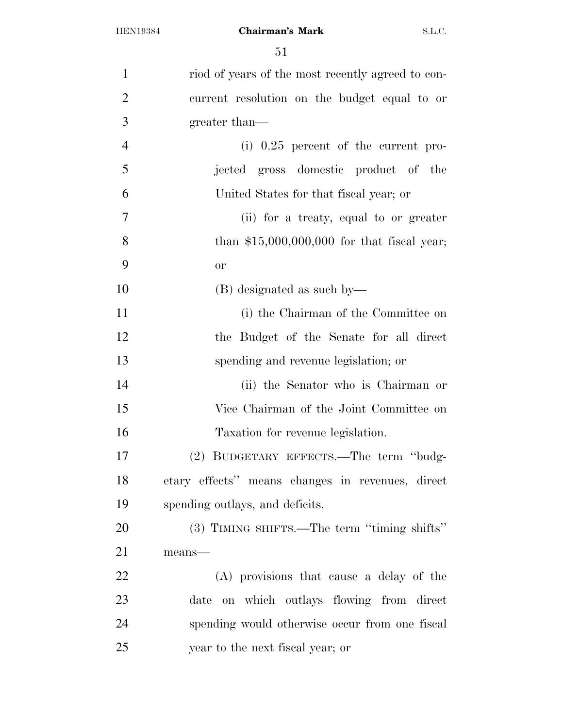| $\mathbf{1}$   | riod of years of the most recently agreed to con- |
|----------------|---------------------------------------------------|
| $\overline{2}$ | current resolution on the budget equal to or      |
| 3              | greater than—                                     |
| $\overline{4}$ | (i) $0.25$ percent of the current pro-            |
| 5              | jected gross domestic product of the              |
| 6              | United States for that fiscal year; or            |
| $\overline{7}$ | (ii) for a treaty, equal to or greater            |
| 8              | than $$15,000,000,000$ for that fiscal year;      |
| 9              | <b>or</b>                                         |
| 10             | (B) designated as such by—                        |
| 11             | (i) the Chairman of the Committee on              |
| 12             | the Budget of the Senate for all direct           |
| 13             | spending and revenue legislation; or              |
| 14             | (ii) the Senator who is Chairman or               |
| 15             | Vice Chairman of the Joint Committee on           |
| 16             | Taxation for revenue legislation.                 |
| 17             | (2) BUDGETARY EFFECTS.—The term "budg-            |
| 18             | etary effects" means changes in revenues, direct  |
| 19             | spending outlays, and deficits.                   |
| 20             | (3) TIMING SHIFTS.—The term "timing shifts"       |
| 21             | means-                                            |
| 22             | (A) provisions that cause a delay of the          |
| 23             | date on which outlays flowing from direct         |
| 24             | spending would otherwise occur from one fiscal    |
| 25             | year to the next fiscal year; or                  |
|                |                                                   |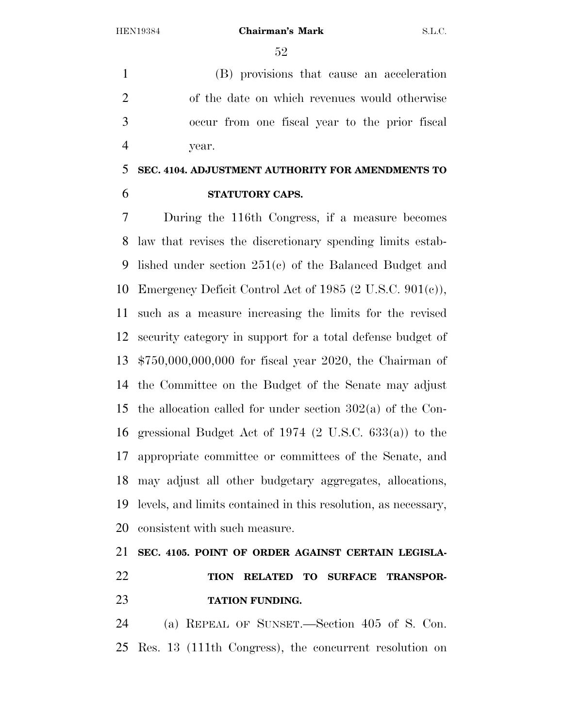(B) provisions that cause an acceleration of the date on which revenues would otherwise occur from one fiscal year to the prior fiscal year.

### **SEC. 4104. ADJUSTMENT AUTHORITY FOR AMENDMENTS TO STATUTORY CAPS.**

 During the 116th Congress, if a measure becomes law that revises the discretionary spending limits estab- lished under section 251(c) of the Balanced Budget and Emergency Deficit Control Act of 1985 (2 U.S.C. 901(c)), such as a measure increasing the limits for the revised security category in support for a total defense budget of \$750,000,000,000 for fiscal year 2020, the Chairman of the Committee on the Budget of the Senate may adjust the allocation called for under section 302(a) of the Con- gressional Budget Act of 1974 (2 U.S.C. 633(a)) to the appropriate committee or committees of the Senate, and may adjust all other budgetary aggregates, allocations, levels, and limits contained in this resolution, as necessary, consistent with such measure.

# **SEC. 4105. POINT OF ORDER AGAINST CERTAIN LEGISLA- TION RELATED TO SURFACE TRANSPOR-TATION FUNDING.**

 (a) REPEAL OF SUNSET.—Section 405 of S. Con. Res. 13 (111th Congress), the concurrent resolution on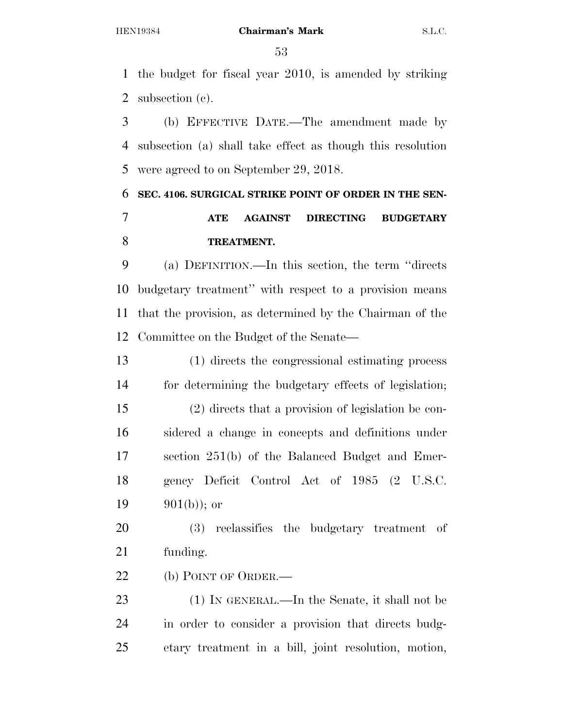the budget for fiscal year 2010, is amended by striking subsection (c).

 (b) EFFECTIVE DATE.—The amendment made by subsection (a) shall take effect as though this resolution were agreed to on September 29, 2018.

# **SEC. 4106. SURGICAL STRIKE POINT OF ORDER IN THE SEN-ATE AGAINST DIRECTING BUDGETARY**

### **TREATMENT.**

 (a) DEFINITION.—In this section, the term ''directs budgetary treatment'' with respect to a provision means that the provision, as determined by the Chairman of the Committee on the Budget of the Senate—

 (1) directs the congressional estimating process for determining the budgetary effects of legislation; (2) directs that a provision of legislation be con- sidered a change in concepts and definitions under section 251(b) of the Balanced Budget and Emer- gency Deficit Control Act of 1985 (2 U.S.C.  $901(b)$ ; or

 (3) reclassifies the budgetary treatment of funding.

22 (b) POINT OF ORDER.

 (1) IN GENERAL.—In the Senate, it shall not be in order to consider a provision that directs budg-etary treatment in a bill, joint resolution, motion,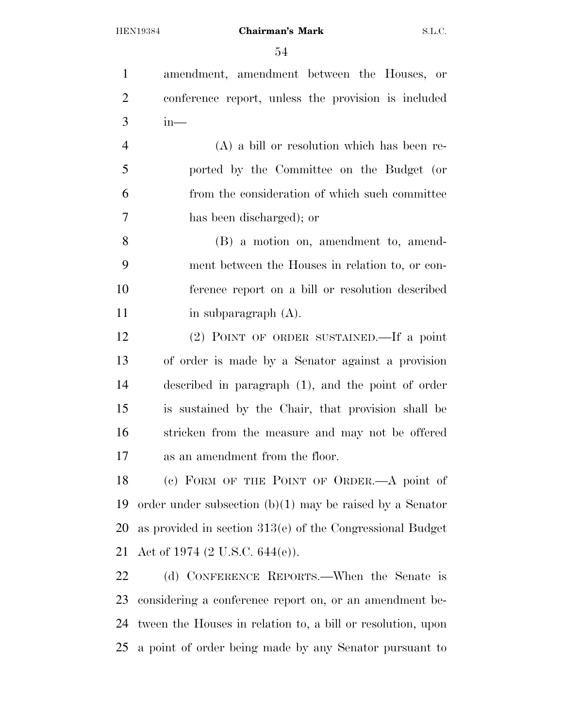amendment, amendment between the Houses, or conference report, unless the provision is included in—

 (A) a bill or resolution which has been re- ported by the Committee on the Budget (or from the consideration of which such committee has been discharged); or

 (B) a motion on, amendment to, amend- ment between the Houses in relation to, or con- ference report on a bill or resolution described 11 in subparagraph (A).

 (2) POINT OF ORDER SUSTAINED.—If a point of order is made by a Senator against a provision described in paragraph (1), and the point of order is sustained by the Chair, that provision shall be stricken from the measure and may not be offered as an amendment from the floor.

 (c) FORM OF THE POINT OF ORDER.—A point of order under subsection (b)(1) may be raised by a Senator as provided in section 313(e) of the Congressional Budget Act of 1974 (2 U.S.C. 644(e)).

 (d) CONFERENCE REPORTS.—When the Senate is considering a conference report on, or an amendment be- tween the Houses in relation to, a bill or resolution, upon a point of order being made by any Senator pursuant to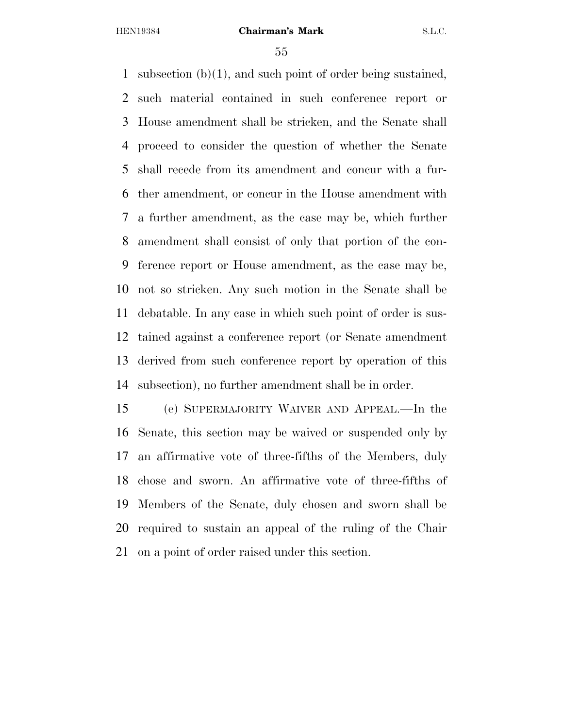subsection (b)(1), and such point of order being sustained, such material contained in such conference report or House amendment shall be stricken, and the Senate shall proceed to consider the question of whether the Senate shall recede from its amendment and concur with a fur- ther amendment, or concur in the House amendment with a further amendment, as the case may be, which further amendment shall consist of only that portion of the con- ference report or House amendment, as the case may be, not so stricken. Any such motion in the Senate shall be debatable. In any case in which such point of order is sus- tained against a conference report (or Senate amendment derived from such conference report by operation of this subsection), no further amendment shall be in order.

 (e) SUPERMAJORITY WAIVER AND APPEAL.—In the Senate, this section may be waived or suspended only by an affirmative vote of three-fifths of the Members, duly chose and sworn. An affirmative vote of three-fifths of Members of the Senate, duly chosen and sworn shall be required to sustain an appeal of the ruling of the Chair on a point of order raised under this section.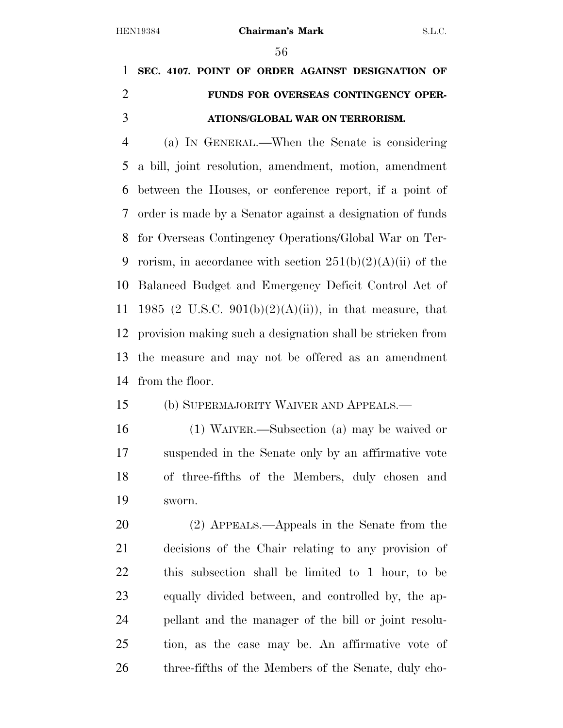# **SEC. 4107. POINT OF ORDER AGAINST DESIGNATION OF FUNDS FOR OVERSEAS CONTINGENCY OPER-ATIONS/GLOBAL WAR ON TERRORISM.**

 (a) IN GENERAL.—When the Senate is considering a bill, joint resolution, amendment, motion, amendment between the Houses, or conference report, if a point of order is made by a Senator against a designation of funds for Overseas Contingency Operations/Global War on Ter-9 rorism, in accordance with section  $251(b)(2)(A)(ii)$  of the Balanced Budget and Emergency Deficit Control Act of 11 1985 (2 U.S.C. 901(b)(2)(A)(ii)), in that measure, that provision making such a designation shall be stricken from the measure and may not be offered as an amendment from the floor.

(b) SUPERMAJORITY WAIVER AND APPEALS.—

 (1) WAIVER.—Subsection (a) may be waived or suspended in the Senate only by an affirmative vote of three-fifths of the Members, duly chosen and sworn.

 (2) APPEALS.—Appeals in the Senate from the decisions of the Chair relating to any provision of this subsection shall be limited to 1 hour, to be equally divided between, and controlled by, the ap- pellant and the manager of the bill or joint resolu- tion, as the case may be. An affirmative vote of 26 three-fifths of the Members of the Senate, duly cho-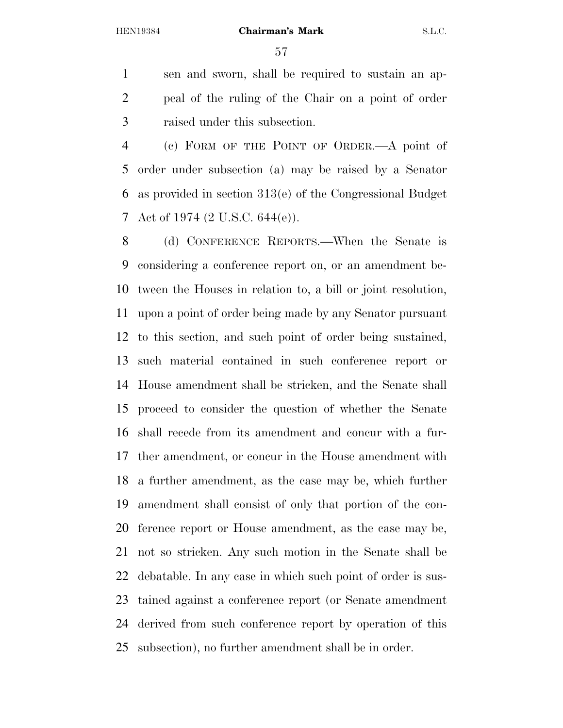sen and sworn, shall be required to sustain an ap- peal of the ruling of the Chair on a point of order raised under this subsection.

 (c) FORM OF THE POINT OF ORDER.—A point of order under subsection (a) may be raised by a Senator as provided in section 313(e) of the Congressional Budget Act of 1974 (2 U.S.C. 644(e)).

 (d) CONFERENCE REPORTS.—When the Senate is considering a conference report on, or an amendment be- tween the Houses in relation to, a bill or joint resolution, upon a point of order being made by any Senator pursuant to this section, and such point of order being sustained, such material contained in such conference report or House amendment shall be stricken, and the Senate shall proceed to consider the question of whether the Senate shall recede from its amendment and concur with a fur- ther amendment, or concur in the House amendment with a further amendment, as the case may be, which further amendment shall consist of only that portion of the con- ference report or House amendment, as the case may be, not so stricken. Any such motion in the Senate shall be debatable. In any case in which such point of order is sus- tained against a conference report (or Senate amendment derived from such conference report by operation of this subsection), no further amendment shall be in order.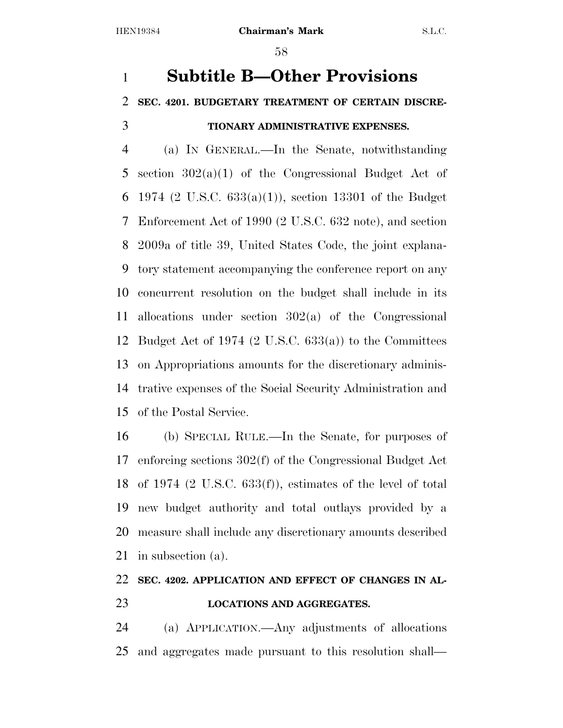# **Subtitle B—Other Provisions SEC. 4201. BUDGETARY TREATMENT OF CERTAIN DISCRE-TIONARY ADMINISTRATIVE EXPENSES.**

 (a) IN GENERAL.—In the Senate, notwithstanding 5 section  $302(a)(1)$  of the Congressional Budget Act of 1974 (2 U.S.C. 633(a)(1)), section 13301 of the Budget Enforcement Act of 1990 (2 U.S.C. 632 note), and section 2009a of title 39, United States Code, the joint explana- tory statement accompanying the conference report on any concurrent resolution on the budget shall include in its allocations under section 302(a) of the Congressional Budget Act of 1974 (2 U.S.C. 633(a)) to the Committees on Appropriations amounts for the discretionary adminis- trative expenses of the Social Security Administration and of the Postal Service.

 (b) SPECIAL RULE.—In the Senate, for purposes of enforcing sections 302(f) of the Congressional Budget Act of 1974 (2 U.S.C. 633(f)), estimates of the level of total new budget authority and total outlays provided by a measure shall include any discretionary amounts described in subsection (a).

### **SEC. 4202. APPLICATION AND EFFECT OF CHANGES IN AL-LOCATIONS AND AGGREGATES.**

 (a) APPLICATION.—Any adjustments of allocations and aggregates made pursuant to this resolution shall—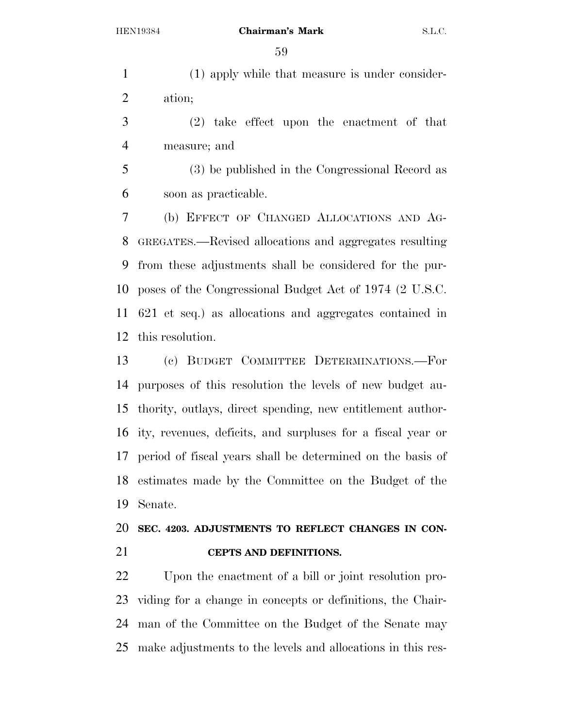(1) apply while that measure is under consider-ation;

 (2) take effect upon the enactment of that measure; and

 (3) be published in the Congressional Record as soon as practicable.

 (b) EFFECT OF CHANGED ALLOCATIONS AND AG- GREGATES.—Revised allocations and aggregates resulting from these adjustments shall be considered for the pur- poses of the Congressional Budget Act of 1974 (2 U.S.C. 621 et seq.) as allocations and aggregates contained in this resolution.

 (c) BUDGET COMMITTEE DETERMINATIONS.—For purposes of this resolution the levels of new budget au- thority, outlays, direct spending, new entitlement author- ity, revenues, deficits, and surpluses for a fiscal year or period of fiscal years shall be determined on the basis of estimates made by the Committee on the Budget of the Senate.

### **SEC. 4203. ADJUSTMENTS TO REFLECT CHANGES IN CON-CEPTS AND DEFINITIONS.**

 Upon the enactment of a bill or joint resolution pro- viding for a change in concepts or definitions, the Chair- man of the Committee on the Budget of the Senate may make adjustments to the levels and allocations in this res-